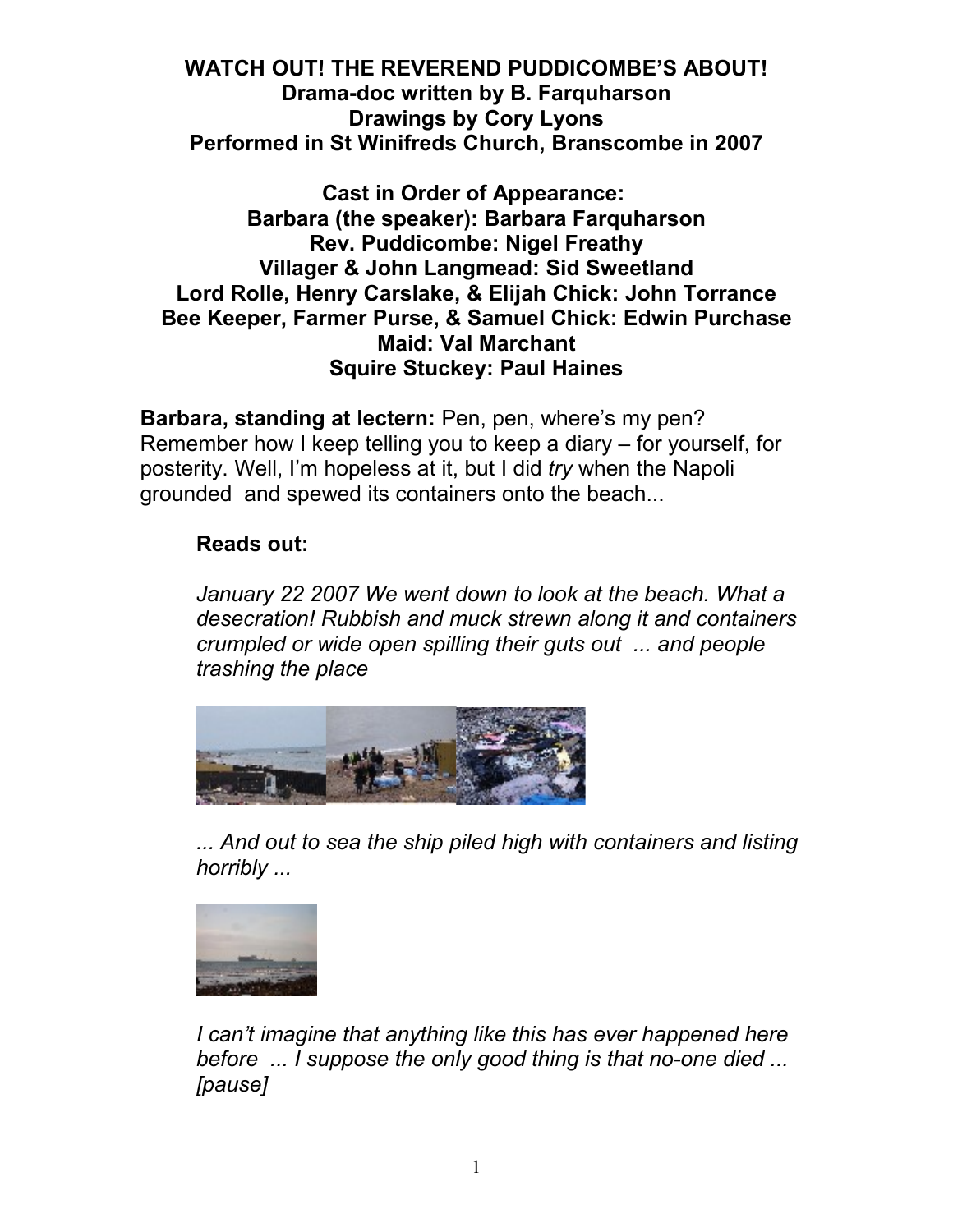**WATCH OUT! THE REVEREND PUDDICOMBE'S ABOUT! Drama-doc written by B. Farquharson Drawings by Cory Lyons Performed in St Winifreds Church, Branscombe in 2007**

#### **Cast in Order of Appearance: Barbara (the speaker): Barbara Farquharson Rev. Puddicombe: Nigel Freathy Villager & John Langmead: Sid Sweetland Lord Rolle, Henry Carslake, & Elijah Chick: John Torrance Bee Keeper, Farmer Purse, & Samuel Chick: Edwin Purchase Maid: Val Marchant Squire Stuckey: Paul Haines**

**Barbara, standing at lectern:** Pen, pen, where's my pen? Remember how I keep telling you to keep a diary – for yourself, for posterity. Well, I'm hopeless at it, but I did *try* when the Napoli grounded and spewed its containers onto the beach...

#### **Reads out:**

*January 22 2007 We went down to look at the beach. What a desecration! Rubbish and muck strewn along it and containers crumpled or wide open spilling their guts out ... and people trashing the place* 



*... And out to sea the ship piled high with containers and listing horribly ...*



*I can't imagine that anything like this has ever happened here before ... I suppose the only good thing is that no-one died ... [pause]*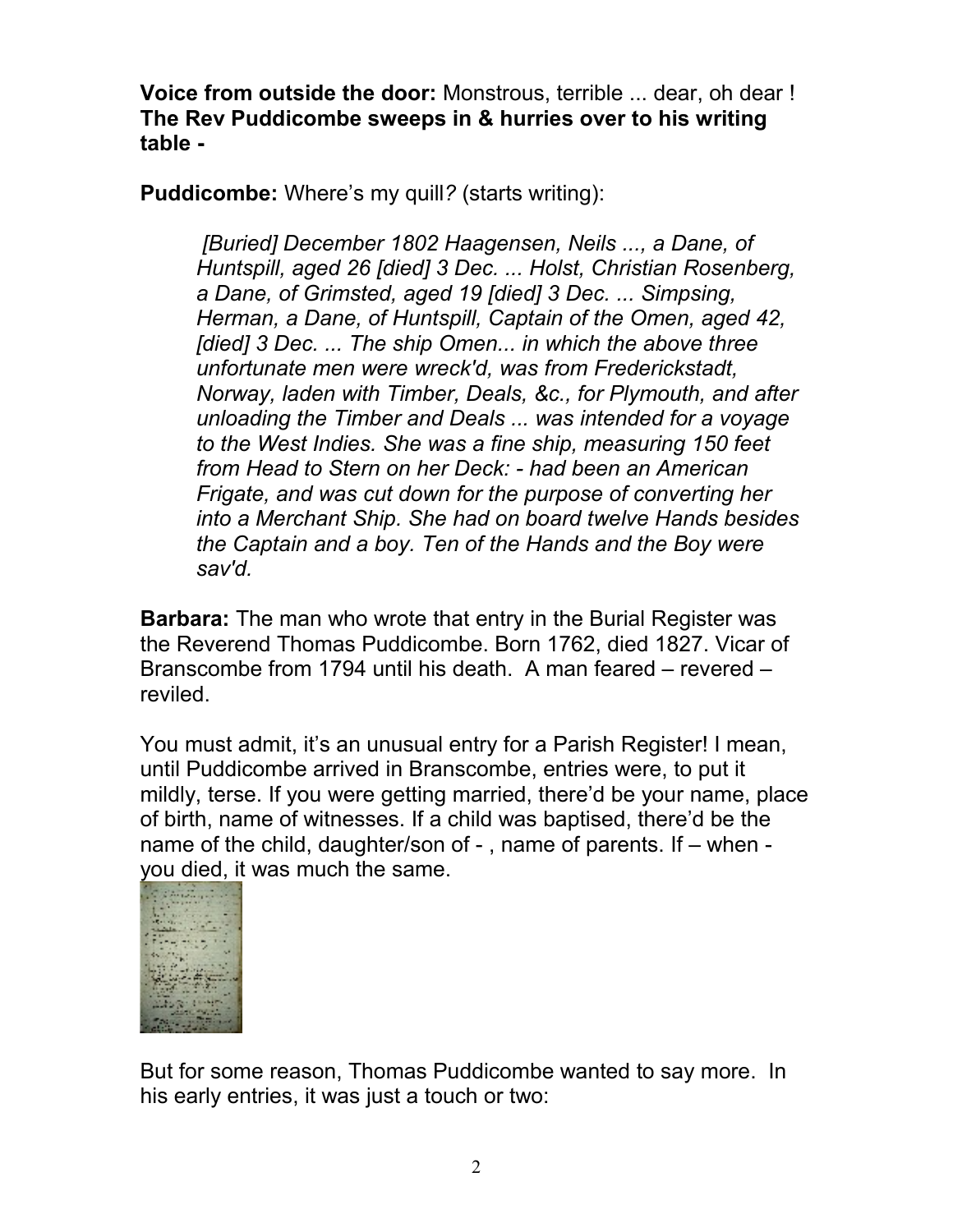**Voice from outside the door:** Monstrous, terrible ... dear, oh dear ! **The Rev Puddicombe sweeps in & hurries over to his writing table -**

**Puddicombe:** Where's my quill*?* (starts writing):

*[Buried] December 1802 Haagensen, Neils ..., a Dane, of Huntspill, aged 26 [died] 3 Dec. ... Holst, Christian Rosenberg, a Dane, of Grimsted, aged 19 [died] 3 Dec. ... Simpsing, Herman, a Dane, of Huntspill, Captain of the Omen, aged 42, [died] 3 Dec. ... The ship Omen... in which the above three unfortunate men were wreck'd, was from Frederickstadt, Norway, laden with Timber, Deals, &c., for Plymouth, and after unloading the Timber and Deals ... was intended for a voyage to the West Indies. She was a fine ship, measuring 150 feet from Head to Stern on her Deck: - had been an American Frigate, and was cut down for the purpose of converting her into a Merchant Ship. She had on board twelve Hands besides the Captain and a boy. Ten of the Hands and the Boy were sav'd.*

**Barbara:** The man who wrote that entry in the Burial Register was the Reverend Thomas Puddicombe. Born 1762, died 1827. Vicar of Branscombe from 1794 until his death. A man feared – revered – reviled.

You must admit, it's an unusual entry for a Parish Register! I mean, until Puddicombe arrived in Branscombe, entries were, to put it mildly, terse. If you were getting married, there'd be your name, place of birth, name of witnesses. If a child was baptised, there'd be the name of the child, daughter/son of - , name of parents. If – when you died, it was much the same.



But for some reason, Thomas Puddicombe wanted to say more. In his early entries, it was just a touch or two: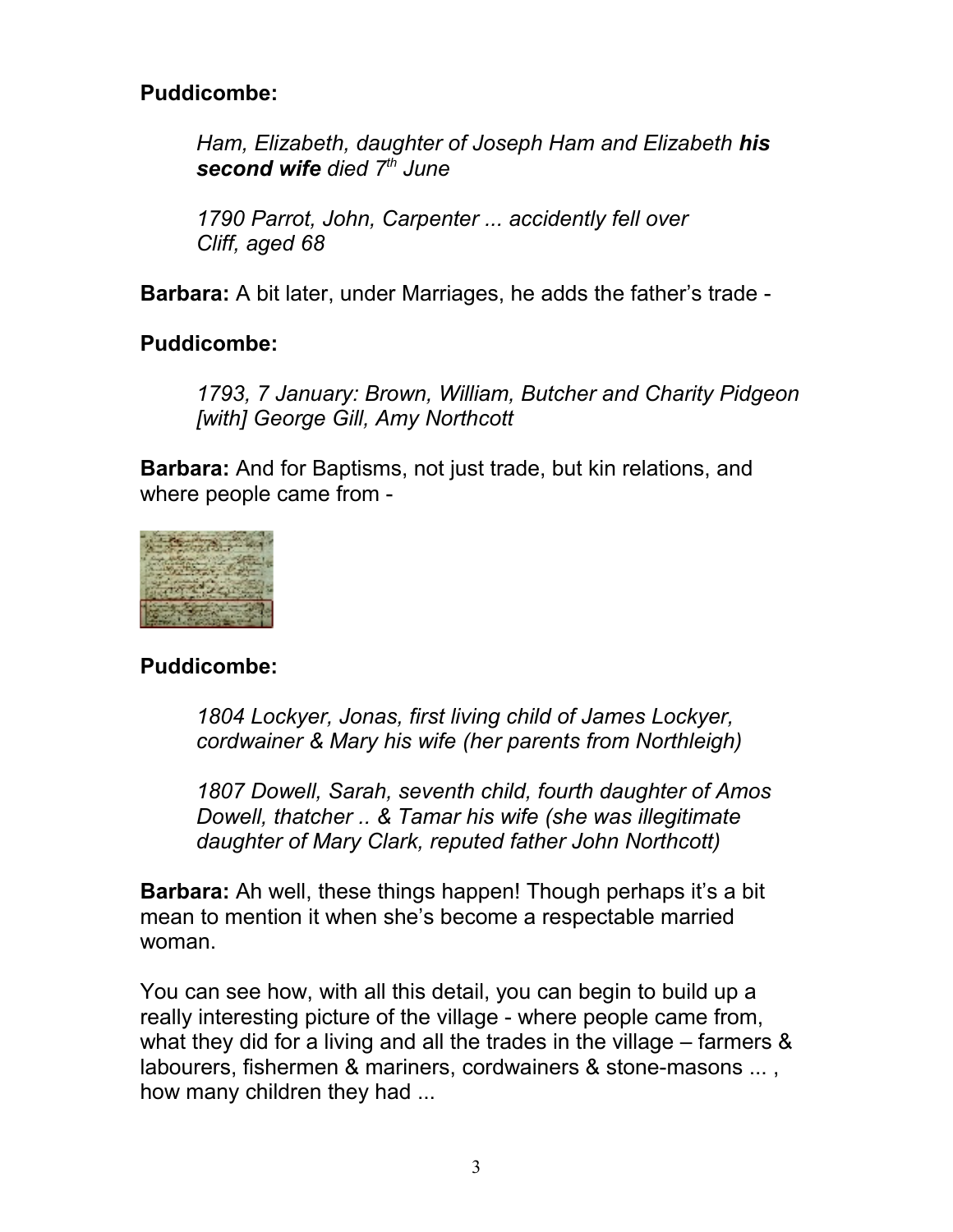#### **Puddicombe:**

*Ham, Elizabeth, daughter of Joseph Ham and Elizabeth his second wife died 7th June*

*1790 Parrot, John, Carpenter ... accidently fell over Cliff, aged 68* 

**Barbara:** A bit later, under Marriages, he adds the father's trade -

#### **Puddicombe:**

*1793, 7 January: Brown, William, Butcher and Charity Pidgeon [with] George Gill, Amy Northcott*

**Barbara:** And for Baptisms, not just trade, but kin relations, and where people came from -



## **Puddicombe:**

*1804 Lockyer, Jonas, first living child of James Lockyer, cordwainer & Mary his wife (her parents from Northleigh)*

*1807 Dowell, Sarah, seventh child, fourth daughter of Amos Dowell, thatcher .. & Tamar his wife (she was illegitimate daughter of Mary Clark, reputed father John Northcott)*

**Barbara:** Ah well, these things happen! Though perhaps it's a bit mean to mention it when she's become a respectable married woman.

You can see how, with all this detail, you can begin to build up a really interesting picture of the village - where people came from, what they did for a living and all the trades in the village – farmers & labourers, fishermen & mariners, cordwainers & stone-masons ... , how many children they had ...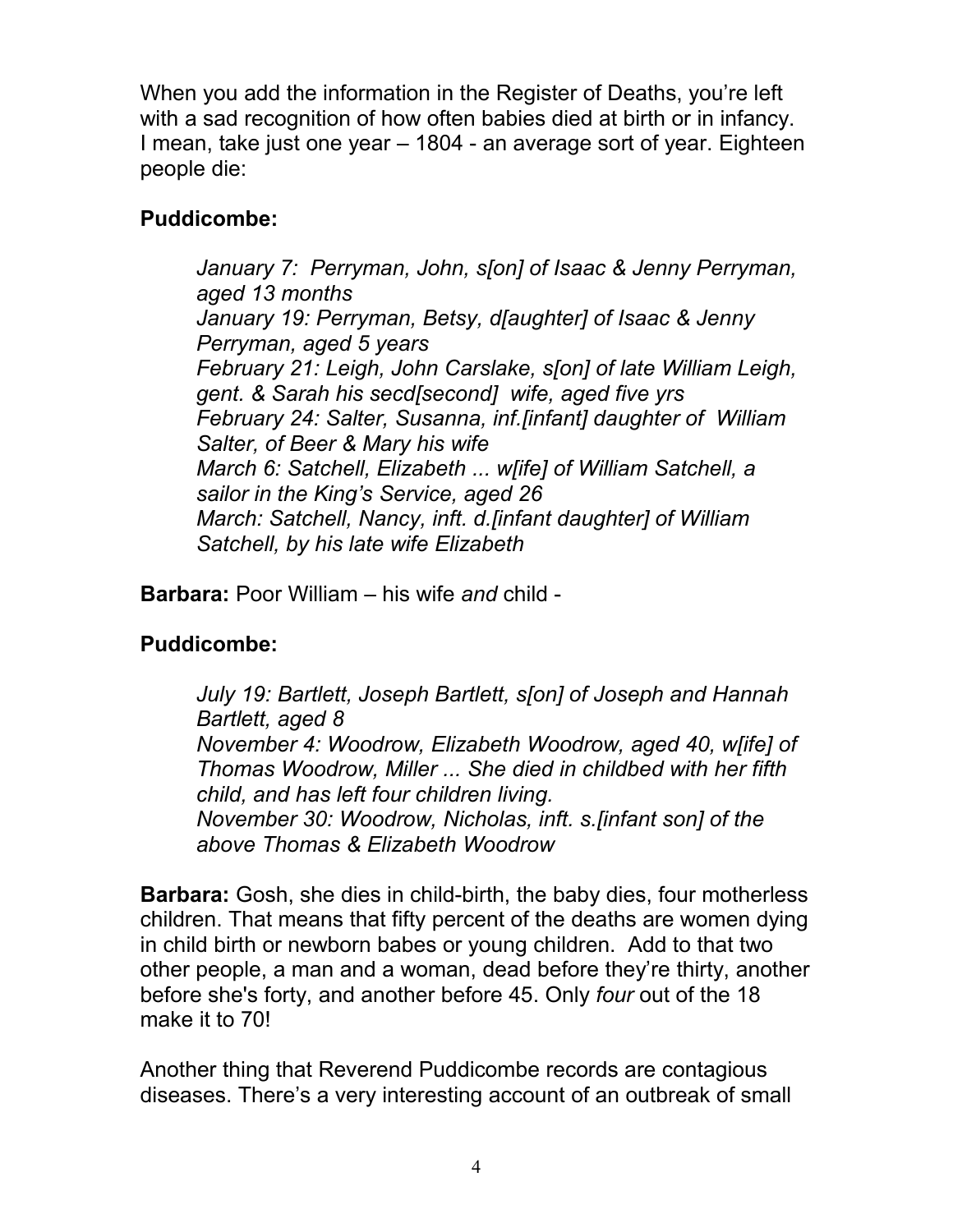When you add the information in the Register of Deaths, you're left with a sad recognition of how often babies died at birth or in infancy. I mean, take just one year – 1804 - an average sort of year. Eighteen people die:

## **Puddicombe:**

*January 7: Perryman, John, s[on] of Isaac & Jenny Perryman, aged 13 months January 19: Perryman, Betsy, d[aughter] of Isaac & Jenny Perryman, aged 5 years February 21: Leigh, John Carslake, s[on] of late William Leigh, gent. & Sarah his secd[second] wife, aged five yrs February 24: Salter, Susanna, inf.[infant] daughter of William Salter, of Beer & Mary his wife March 6: Satchell, Elizabeth ... w[ife] of William Satchell, a sailor in the King's Service, aged 26 March: Satchell, Nancy, inft. d.[infant daughter] of William Satchell, by his late wife Elizabeth* 

**Barbara:** Poor William – his wife *and* child -

# **Puddicombe:**

*July 19: Bartlett, Joseph Bartlett, s[on] of Joseph and Hannah Bartlett, aged 8 November 4: Woodrow, Elizabeth Woodrow, aged 40, w[ife] of Thomas Woodrow, Miller ... She died in childbed with her fifth child, and has left four children living. November 30: Woodrow, Nicholas, inft. s.[infant son] of the above Thomas & Elizabeth Woodrow* 

**Barbara:** Gosh, she dies in child-birth, the baby dies, four motherless children. That means that fifty percent of the deaths are women dying in child birth or newborn babes or young children. Add to that two other people, a man and a woman, dead before they're thirty, another before she's forty, and another before 45. Only *four* out of the 18 make it to 70!

Another thing that Reverend Puddicombe records are contagious diseases. There's a very interesting account of an outbreak of small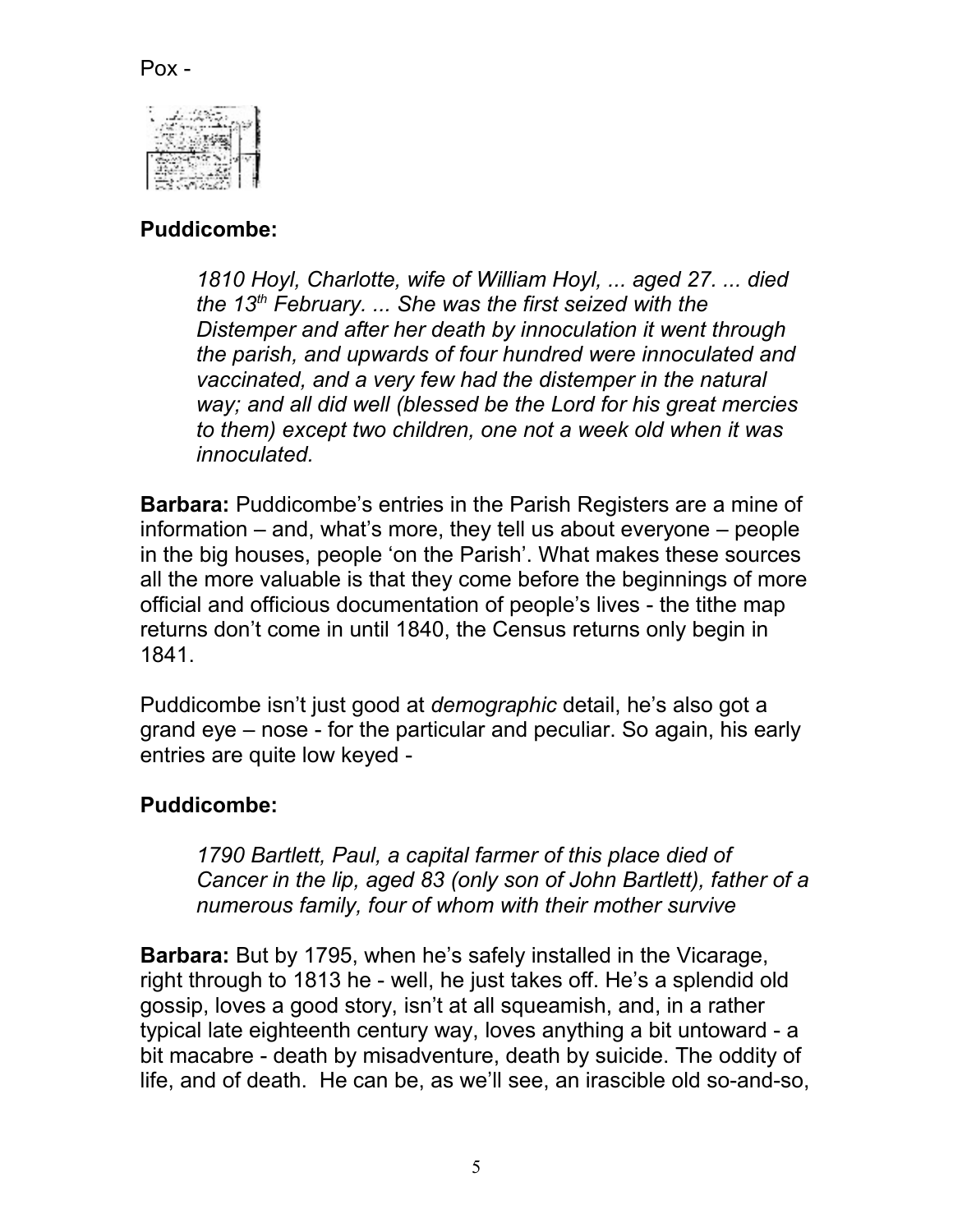## Pox -



# **Puddicombe:**

*1810 Hoyl, Charlotte, wife of William Hoyl, ... aged 27. ... died the 13th February. ... She was the first seized with the Distemper and after her death by innoculation it went through the parish, and upwards of four hundred were innoculated and vaccinated, and a very few had the distemper in the natural way; and all did well (blessed be the Lord for his great mercies to them) except two children, one not a week old when it was innoculated.* 

**Barbara:** Puddicombe's entries in the Parish Registers are a mine of information – and, what's more, they tell us about everyone – people in the big houses, people 'on the Parish'. What makes these sources all the more valuable is that they come before the beginnings of more official and officious documentation of people's lives - the tithe map returns don't come in until 1840, the Census returns only begin in 1841.

Puddicombe isn't just good at *demographic* detail, he's also got a grand eye – nose - for the particular and peculiar. So again, his early entries are quite low keyed -

## **Puddicombe:**

*1790 Bartlett, Paul, a capital farmer of this place died of Cancer in the lip, aged 83 (only son of John Bartlett), father of a numerous family, four of whom with their mother survive* 

**Barbara:** But by 1795, when he's safely installed in the Vicarage, right through to 1813 he - well, he just takes off. He's a splendid old gossip, loves a good story, isn't at all squeamish, and, in a rather typical late eighteenth century way, loves anything a bit untoward - a bit macabre - death by misadventure, death by suicide. The oddity of life, and of death. He can be, as we'll see, an irascible old so-and-so,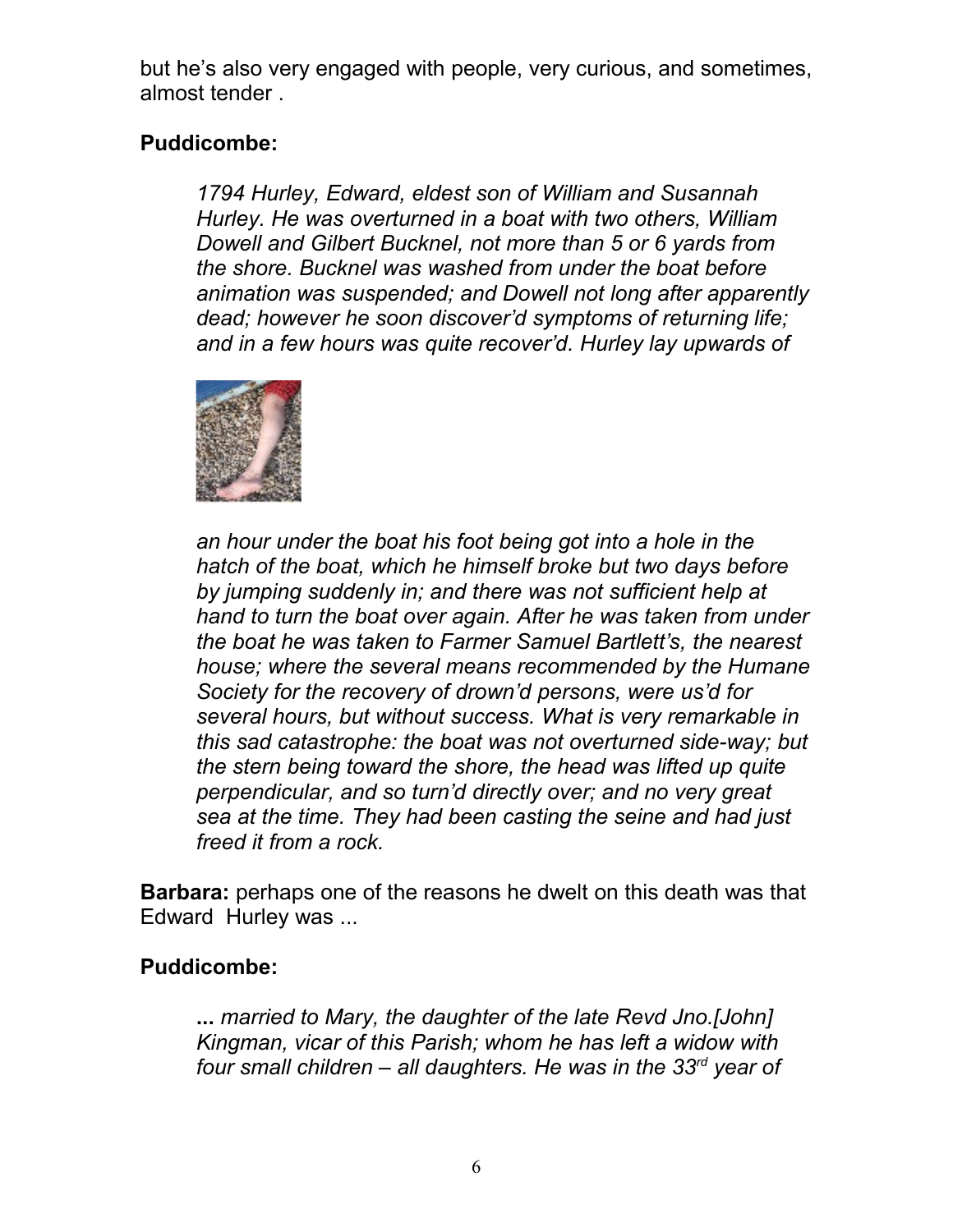but he's also very engaged with people, very curious, and sometimes, almost tender .

# **Puddicombe:**

*1794 Hurley, Edward, eldest son of William and Susannah Hurley. He was overturned in a boat with two others, William Dowell and Gilbert Bucknel, not more than 5 or 6 yards from the shore. Bucknel was washed from under the boat before animation was suspended; and Dowell not long after apparently dead; however he soon discover'd symptoms of returning life; and in a few hours was quite recover'd. Hurley lay upwards of* 



*an hour under the boat his foot being got into a hole in the hatch of the boat, which he himself broke but two days before by jumping suddenly in; and there was not sufficient help at hand to turn the boat over again. After he was taken from under the boat he was taken to Farmer Samuel Bartlett's, the nearest house; where the several means recommended by the Humane Society for the recovery of drown'd persons, were us'd for several hours, but without success. What is very remarkable in this sad catastrophe: the boat was not overturned side-way; but the stern being toward the shore, the head was lifted up quite perpendicular, and so turn'd directly over; and no very great sea at the time. They had been casting the seine and had just freed it from a rock.*

**Barbara:** perhaps one of the reasons he dwelt on this death was that Edward Hurley was ...

## **Puddicombe:**

**...** *married to Mary, the daughter of the late Revd Jno.[John] Kingman, vicar of this Parish; whom he has left a widow with four small children – all daughters. He was in the 33rd year of*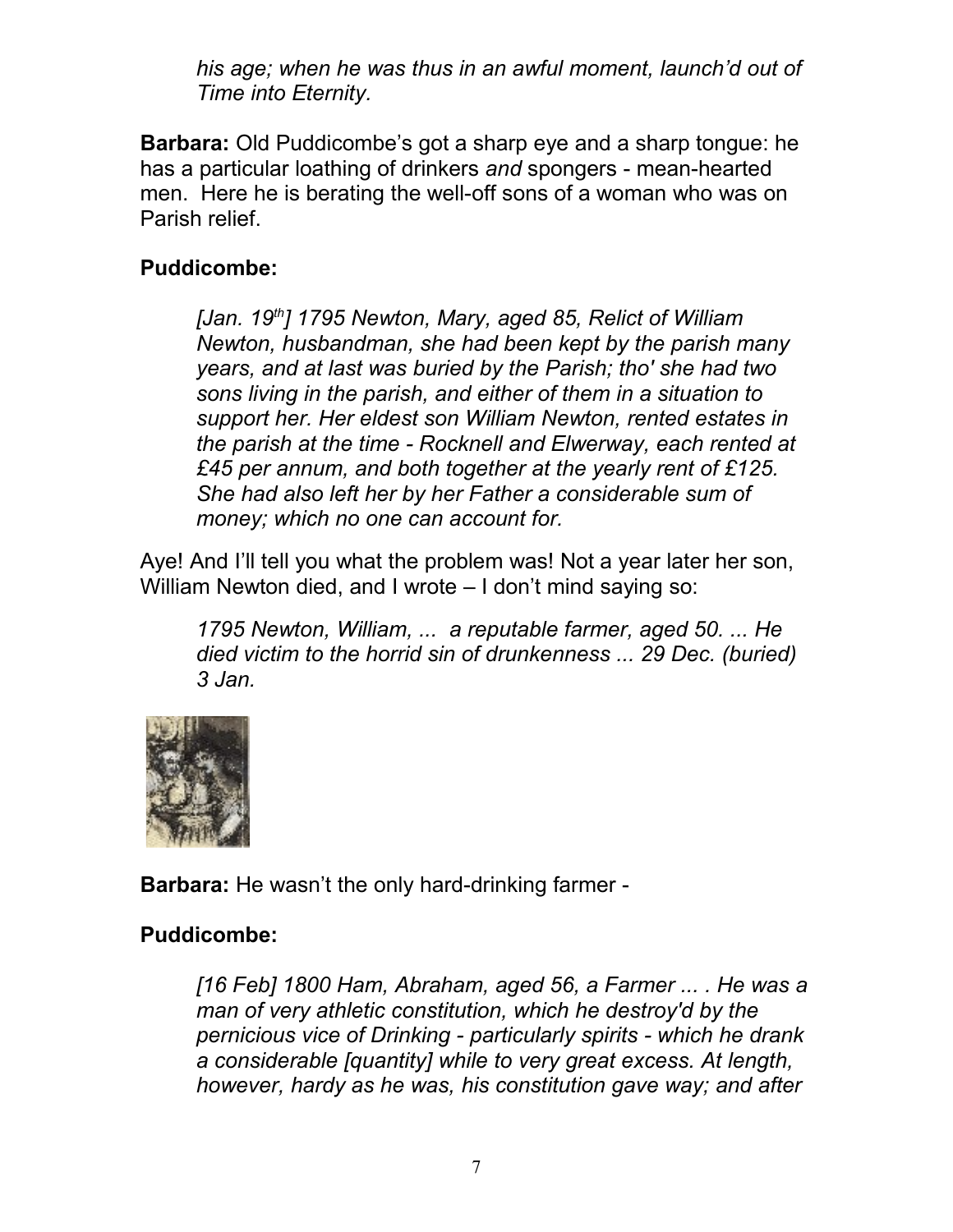*his age; when he was thus in an awful moment, launch'd out of Time into Eternity.*

**Barbara:** Old Puddicombe's got a sharp eye and a sharp tongue: he has a particular loathing of drinkers *and* spongers - mean-hearted men. Here he is berating the well-off sons of a woman who was on Parish relief.

# **Puddicombe:**

*[Jan. 19th] 1795 Newton, Mary, aged 85, Relict of William Newton, husbandman, she had been kept by the parish many years, and at last was buried by the Parish; tho' she had two sons living in the parish, and either of them in a situation to support her. Her eldest son William Newton, rented estates in the parish at the time - Rocknell and Elwerway, each rented at £45 per annum, and both together at the yearly rent of £125. She had also left her by her Father a considerable sum of money; which no one can account for.*

Aye! And I'll tell you what the problem was! Not a year later her son, William Newton died, and I wrote – I don't mind saying so:

*1795 Newton, William, ... a reputable farmer, aged 50. ... He died victim to the horrid sin of drunkenness ... 29 Dec. (buried) 3 Jan.*



**Barbara:** He wasn't the only hard-drinking farmer -

# **Puddicombe:**

*[16 Feb] 1800 Ham, Abraham, aged 56, a Farmer ... . He was a man of very athletic constitution, which he destroy'd by the pernicious vice of Drinking - particularly spirits - which he drank a considerable [quantity] while to very great excess. At length, however, hardy as he was, his constitution gave way; and after*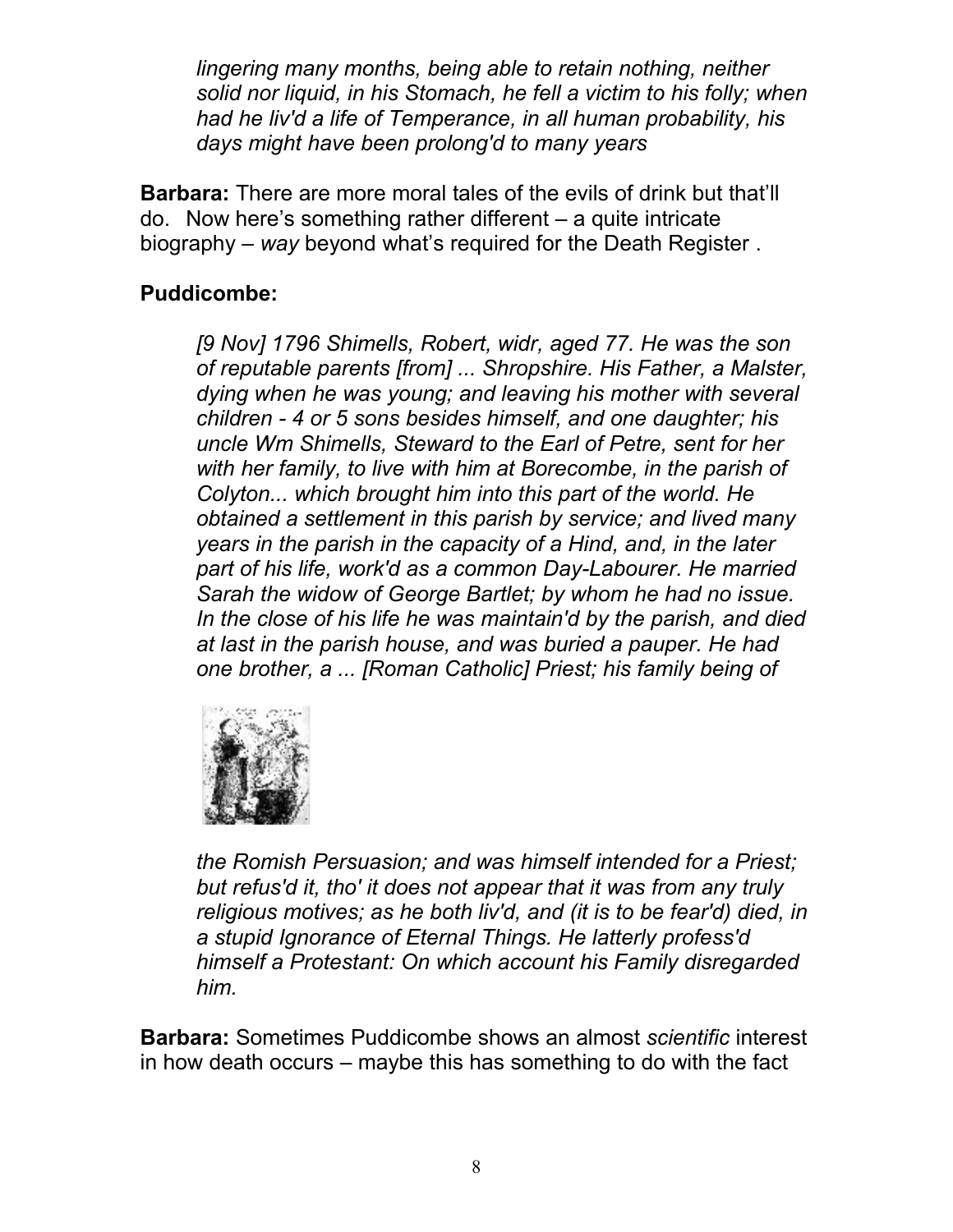*lingering many months, being able to retain nothing, neither solid nor liquid, in his Stomach, he fell a victim to his folly; when had he liv'd a life of Temperance, in all human probability, his days might have been prolong'd to many years* 

**Barbara:** There are more moral tales of the evils of drink but that'll do. Now here's something rather different – a quite intricate biography – *way* beyond what's required for the Death Register .

# **Puddicombe:**

*[9 Nov] 1796 Shimells, Robert, widr, aged 77. He was the son of reputable parents [from] ... Shropshire. His Father, a Malster, dying when he was young; and leaving his mother with several children - 4 or 5 sons besides himself, and one daughter; his uncle Wm Shimells, Steward to the Earl of Petre, sent for her with her family, to live with him at Borecombe, in the parish of Colyton... which brought him into this part of the world. He obtained a settlement in this parish by service; and lived many years in the parish in the capacity of a Hind, and, in the later part of his life, work'd as a common Day-Labourer. He married Sarah the widow of George Bartlet; by whom he had no issue. In the close of his life he was maintain'd by the parish, and died at last in the parish house, and was buried a pauper. He had one brother, a ... [Roman Catholic] Priest; his family being of* 



*the Romish Persuasion; and was himself intended for a Priest; but refus'd it, tho' it does not appear that it was from any truly religious motives; as he both liv'd, and (it is to be fear'd) died, in a stupid Ignorance of Eternal Things. He latterly profess'd himself a Protestant: On which account his Family disregarded him.* 

**Barbara:** Sometimes Puddicombe shows an almost *scientific* interest in how death occurs – maybe this has something to do with the fact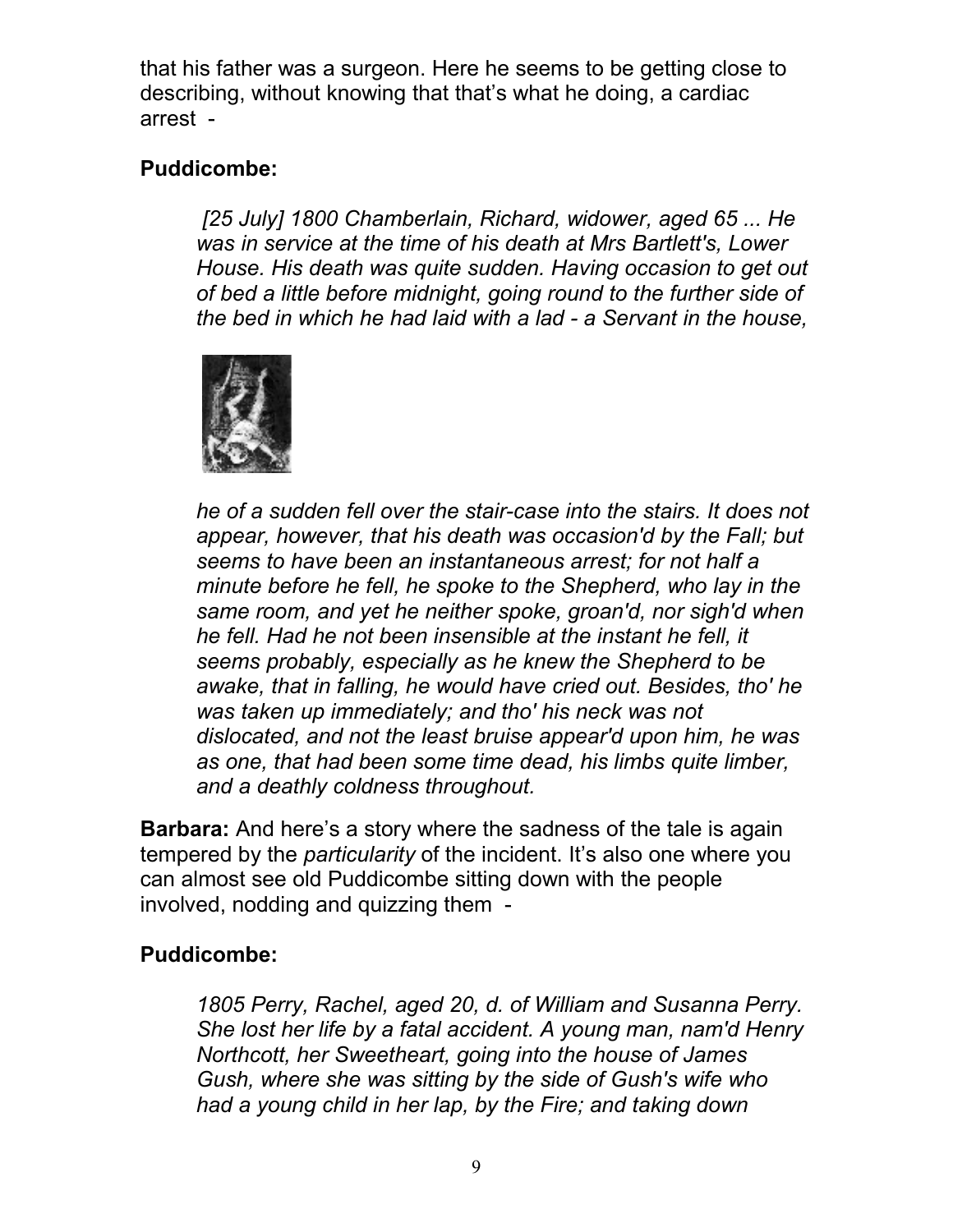that his father was a surgeon. Here he seems to be getting close to describing, without knowing that that's what he doing, a cardiac arrest -

## **Puddicombe:**

*[25 July] 1800 Chamberlain, Richard, widower, aged 65 ... He was in service at the time of his death at Mrs Bartlett's, Lower House. His death was quite sudden. Having occasion to get out of bed a little before midnight, going round to the further side of the bed in which he had laid with a lad - a Servant in the house,*



*he of a sudden fell over the stair-case into the stairs. It does not appear, however, that his death was occasion'd by the Fall; but seems to have been an instantaneous arrest; for not half a minute before he fell, he spoke to the Shepherd, who lay in the same room, and yet he neither spoke, groan'd, nor sigh'd when he fell. Had he not been insensible at the instant he fell, it seems probably, especially as he knew the Shepherd to be awake, that in falling, he would have cried out. Besides, tho' he was taken up immediately; and tho' his neck was not dislocated, and not the least bruise appear'd upon him, he was as one, that had been some time dead, his limbs quite limber, and a deathly coldness throughout.* 

**Barbara:** And here's a story where the sadness of the tale is again tempered by the *particularity* of the incident. It's also one where you can almost see old Puddicombe sitting down with the people involved, nodding and quizzing them -

## **Puddicombe:**

*1805 Perry, Rachel, aged 20, d. of William and Susanna Perry. She lost her life by a fatal accident. A young man, nam'd Henry Northcott, her Sweetheart, going into the house of James Gush, where she was sitting by the side of Gush's wife who had a young child in her lap, by the Fire; and taking down*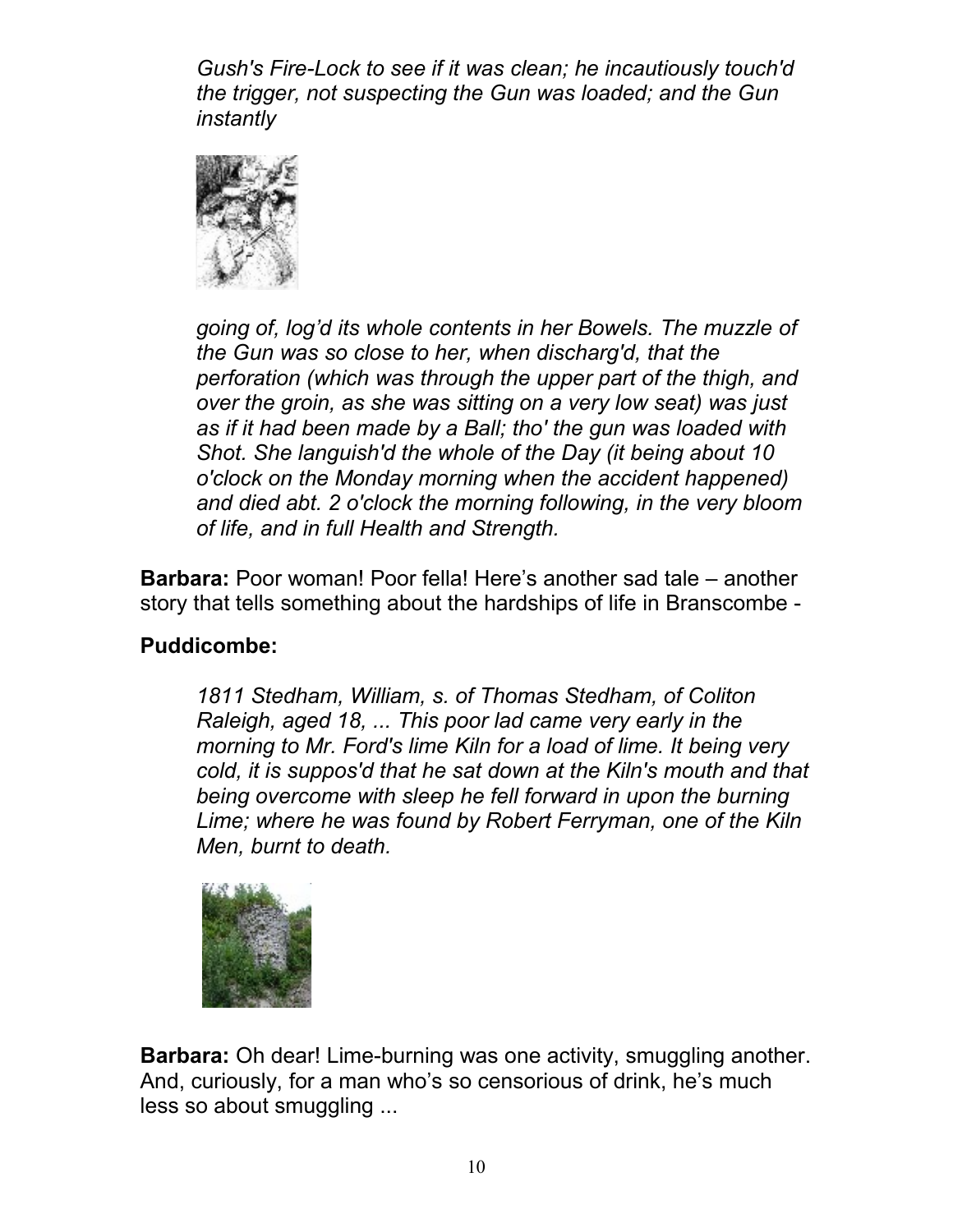*Gush's Fire-Lock to see if it was clean; he incautiously touch'd the trigger, not suspecting the Gun was loaded; and the Gun instantly* 



*going of, log'd its whole contents in her Bowels. The muzzle of the Gun was so close to her, when discharg'd, that the perforation (which was through the upper part of the thigh, and over the groin, as she was sitting on a very low seat) was just as if it had been made by a Ball; tho' the gun was loaded with Shot. She languish'd the whole of the Day (it being about 10 o'clock on the Monday morning when the accident happened) and died abt. 2 o'clock the morning following, in the very bloom of life, and in full Health and Strength.* 

**Barbara:** Poor woman! Poor fella! Here's another sad tale – another story that tells something about the hardships of life in Branscombe -

## **Puddicombe:**

*1811 Stedham, William, s. of Thomas Stedham, of Coliton Raleigh, aged 18, ... This poor lad came very early in the morning to Mr. Ford's lime Kiln for a load of lime. It being very cold, it is suppos'd that he sat down at the Kiln's mouth and that being overcome with sleep he fell forward in upon the burning Lime; where he was found by Robert Ferryman, one of the Kiln Men, burnt to death.*



**Barbara:** Oh dear! Lime-burning was one activity, smuggling another. And, curiously, for a man who's so censorious of drink, he's much less so about smuggling ...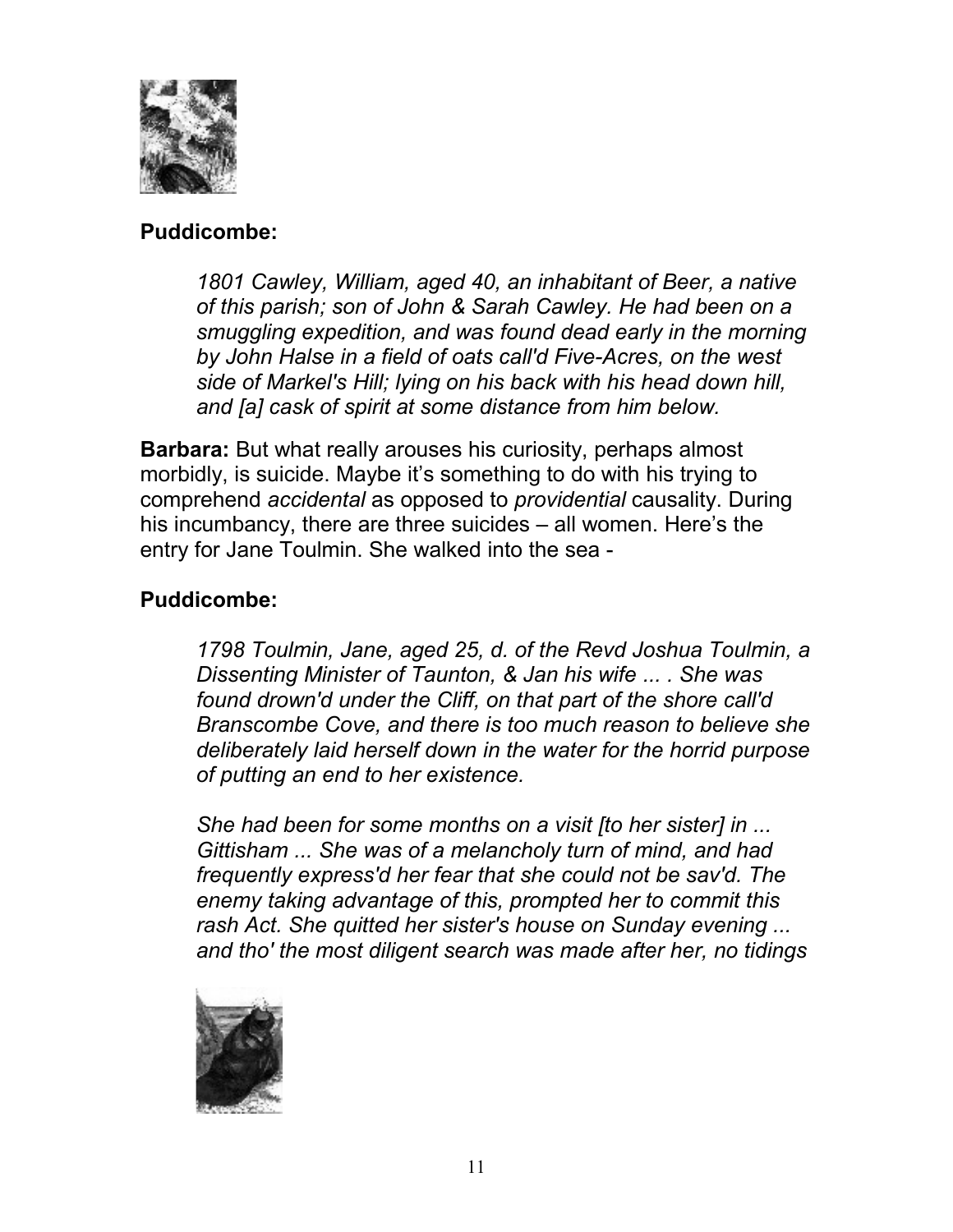

#### **Puddicombe:**

*1801 Cawley, William, aged 40, an inhabitant of Beer, a native of this parish; son of John & Sarah Cawley. He had been on a smuggling expedition, and was found dead early in the morning by John Halse in a field of oats call'd Five-Acres, on the west side of Markel's Hill; lying on his back with his head down hill, and [a] cask of spirit at some distance from him below.*

**Barbara:** But what really arouses his curiosity, perhaps almost morbidly, is suicide. Maybe it's something to do with his trying to comprehend *accidental* as opposed to *providential* causality. During his incumbancy, there are three suicides – all women. Here's the entry for Jane Toulmin. She walked into the sea -

## **Puddicombe:**

*1798 Toulmin, Jane, aged 25, d. of the Revd Joshua Toulmin, a Dissenting Minister of Taunton, & Jan his wife ... . She was found drown'd under the Cliff, on that part of the shore call'd Branscombe Cove, and there is too much reason to believe she deliberately laid herself down in the water for the horrid purpose of putting an end to her existence.* 

*She had been for some months on a visit [to her sister] in ... Gittisham ... She was of a melancholy turn of mind, and had frequently express'd her fear that she could not be sav'd. The enemy taking advantage of this, prompted her to commit this rash Act. She quitted her sister's house on Sunday evening ... and tho' the most diligent search was made after her, no tidings*

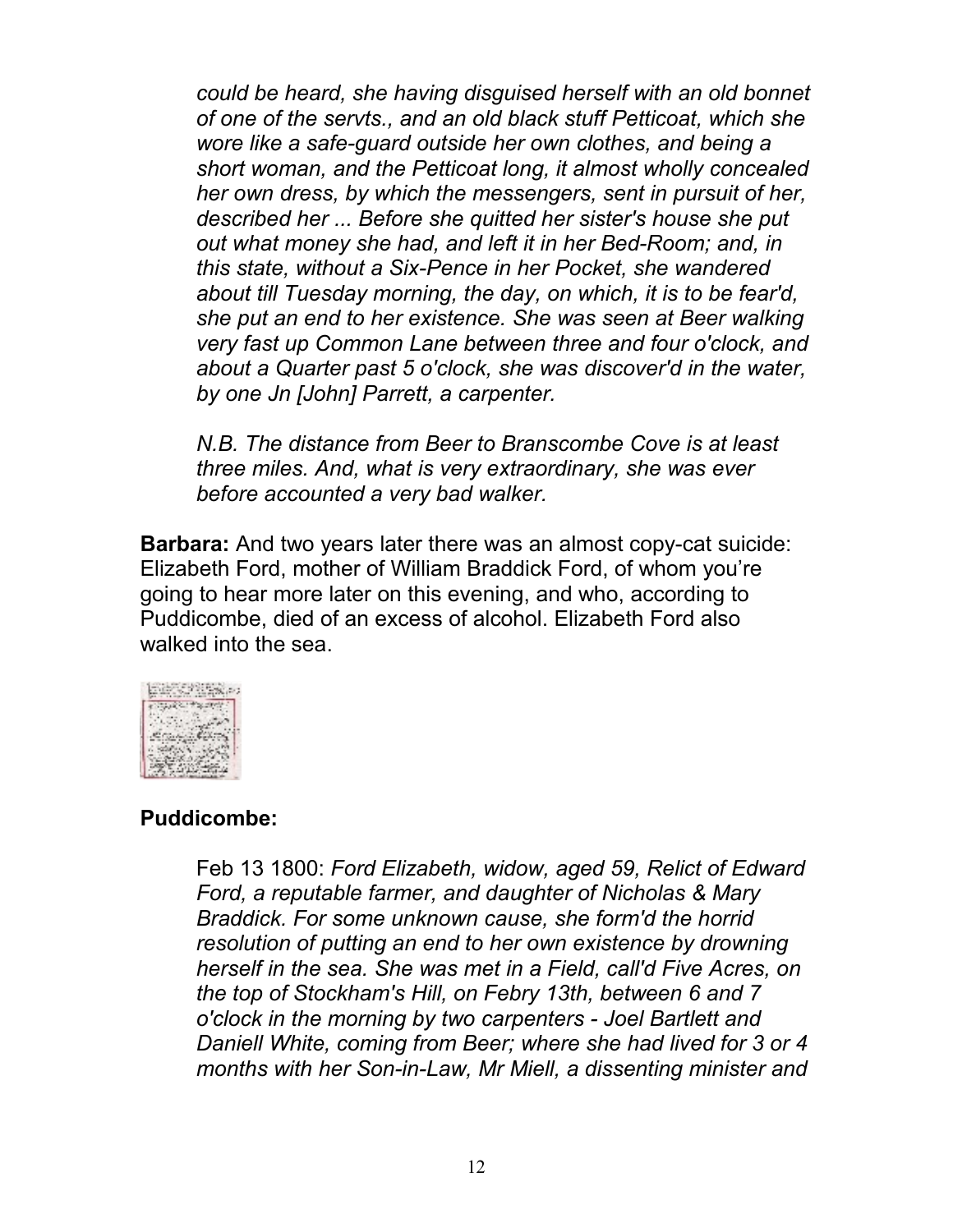*could be heard, she having disguised herself with an old bonnet of one of the servts., and an old black stuff Petticoat, which she wore like a safe-guard outside her own clothes, and being a short woman, and the Petticoat long, it almost wholly concealed her own dress, by which the messengers, sent in pursuit of her, described her ... Before she quitted her sister's house she put out what money she had, and left it in her Bed-Room; and, in this state, without a Six-Pence in her Pocket, she wandered about till Tuesday morning, the day, on which, it is to be fear'd, she put an end to her existence. She was seen at Beer walking very fast up Common Lane between three and four o'clock, and about a Quarter past 5 o'clock, she was discover'd in the water, by one Jn [John] Parrett, a carpenter.* 

*N.B. The distance from Beer to Branscombe Cove is at least three miles. And, what is very extraordinary, she was ever before accounted a very bad walker.* 

**Barbara:** And two years later there was an almost copy-cat suicide: Elizabeth Ford, mother of William Braddick Ford, of whom you're going to hear more later on this evening, and who, according to Puddicombe, died of an excess of alcohol. Elizabeth Ford also walked into the sea.



#### **Puddicombe:**

Feb 13 1800: *Ford Elizabeth, widow, aged 59, Relict of Edward Ford, a reputable farmer, and daughter of Nicholas & Mary Braddick. For some unknown cause, she form'd the horrid resolution of putting an end to her own existence by drowning herself in the sea. She was met in a Field, call'd Five Acres, on the top of Stockham's Hill, on Febry 13th, between 6 and 7 o'clock in the morning by two carpenters - Joel Bartlett and Daniell White, coming from Beer; where she had lived for 3 or 4 months with her Son-in-Law, Mr Miell, a dissenting minister and*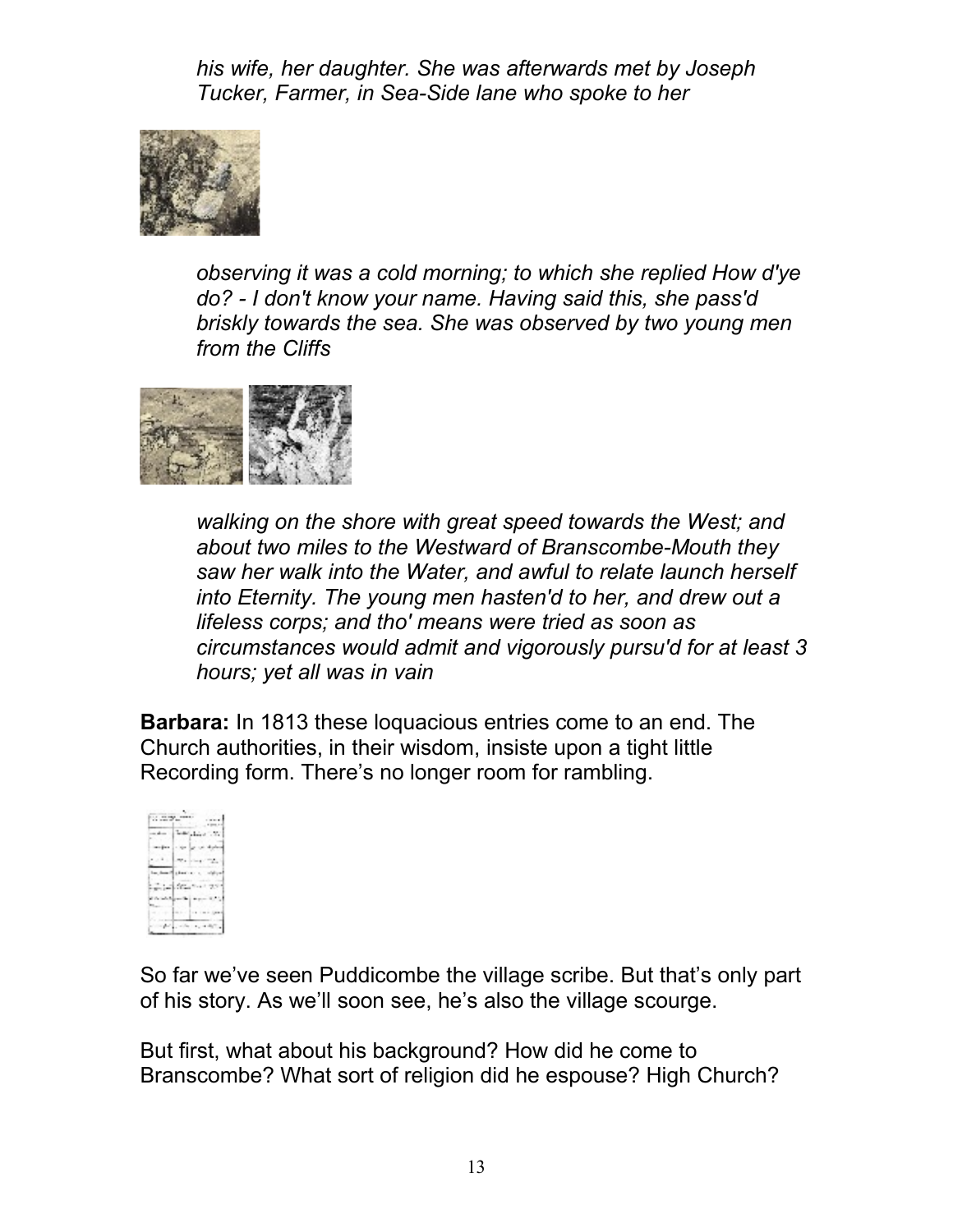*his wife, her daughter. She was afterwards met by Joseph Tucker, Farmer, in Sea-Side lane who spoke to her*



*observing it was a cold morning; to which she replied How d'ye do? - I don't know your name. Having said this, she pass'd briskly towards the sea. She was observed by two young men from the Cliffs* 



*walking on the shore with great speed towards the West; and about two miles to the Westward of Branscombe-Mouth they saw her walk into the Water, and awful to relate launch herself into Eternity. The young men hasten'd to her, and drew out a lifeless corps; and tho' means were tried as soon as circumstances would admit and vigorously pursu'd for at least 3 hours; yet all was in vain*

**Barbara:** In 1813 these loquacious entries come to an end. The Church authorities, in their wisdom, insiste upon a tight little Recording form. There's no longer room for rambling.



So far we've seen Puddicombe the village scribe. But that's only part of his story. As we'll soon see, he's also the village scourge.

But first, what about his background? How did he come to Branscombe? What sort of religion did he espouse? High Church?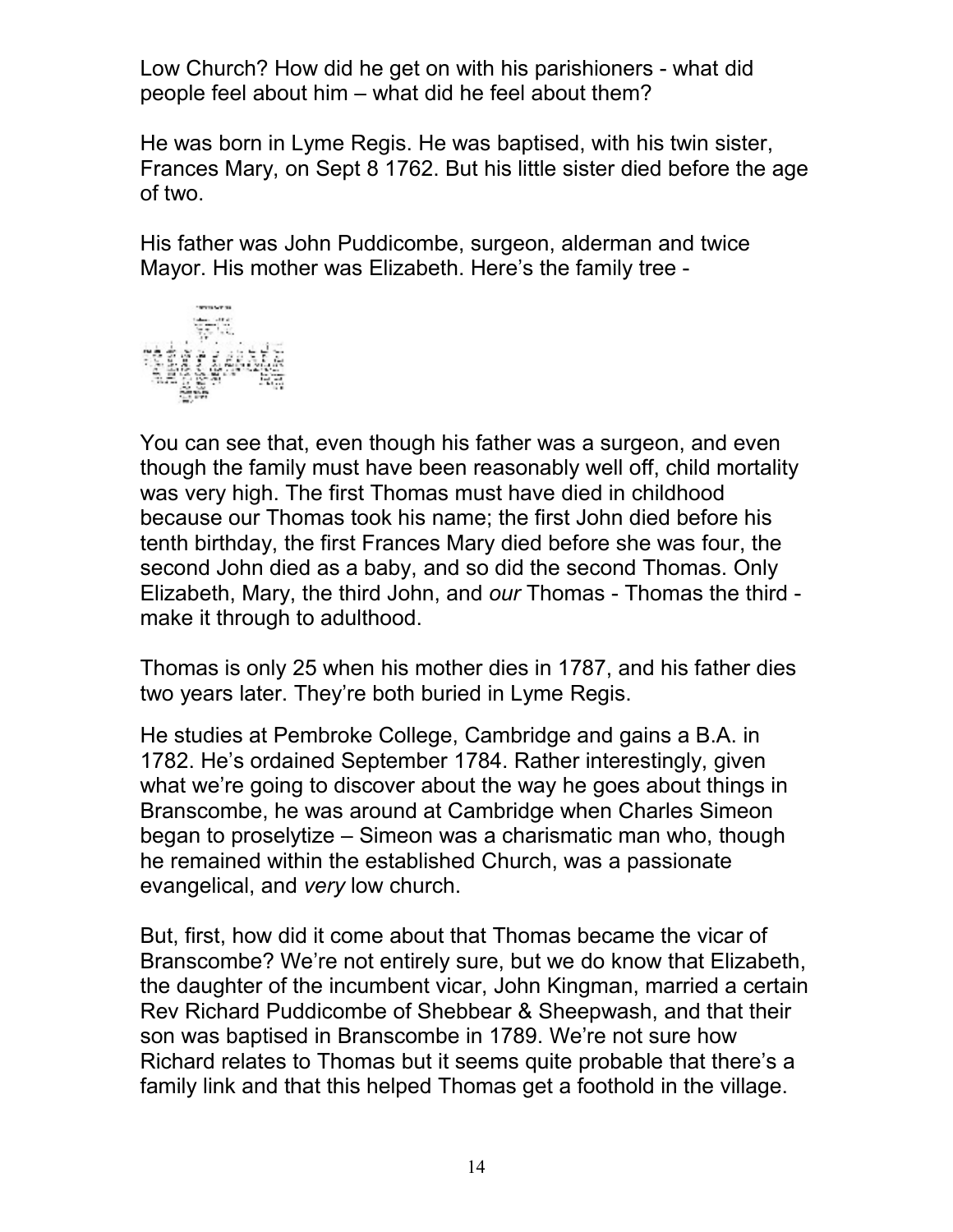Low Church? How did he get on with his parishioners - what did people feel about him – what did he feel about them?

He was born in Lyme Regis. He was baptised, with his twin sister, Frances Mary, on Sept 8 1762. But his little sister died before the age of two.

His father was John Puddicombe, surgeon, alderman and twice Mayor. His mother was Elizabeth. Here's the family tree -



You can see that, even though his father was a surgeon, and even though the family must have been reasonably well off, child mortality was very high. The first Thomas must have died in childhood because our Thomas took his name; the first John died before his tenth birthday, the first Frances Mary died before she was four, the second John died as a baby, and so did the second Thomas. Only Elizabeth, Mary, the third John, and *our* Thomas - Thomas the third make it through to adulthood.

Thomas is only 25 when his mother dies in 1787, and his father dies two years later. They're both buried in Lyme Regis. Ξ

He studies at Pembroke College, Cambridge and gains a B.A. in 1782. He's ordained September 1784. Rather interestingly, given what we're going to discover about the way he goes about things in Branscombe, he was around at Cambridge when Charles Simeon began to proselytize – Simeon was a charismatic man who, though he remained within the established Church, was a passionate evangelical, and *very* low church.

But, first, how did it come about that Thomas became the vicar of Branscombe? We're not entirely sure, but we do know that Elizabeth, the daughter of the incumbent vicar, John Kingman, married a certain Rev Richard Puddicombe of Shebbear & Sheepwash, and that their son was baptised in Branscombe in 1789. We're not sure how Richard relates to Thomas but it seems quite probable that there's a family link and that this helped Thomas get a foothold in the village.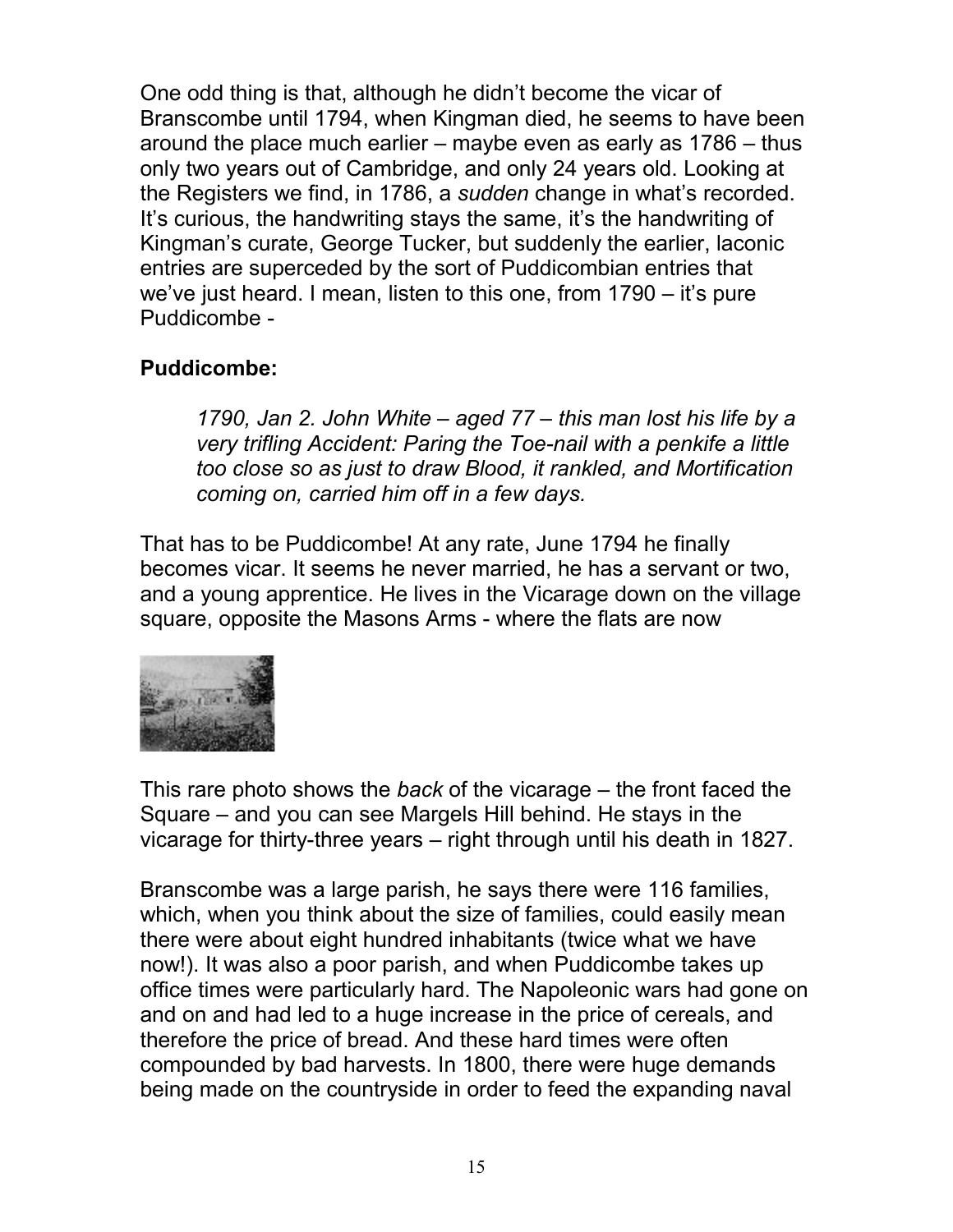One odd thing is that, although he didn't become the vicar of Branscombe until 1794, when Kingman died, he seems to have been around the place much earlier – maybe even as early as 1786 – thus only two years out of Cambridge, and only 24 years old. Looking at the Registers we find, in 1786, a *sudden* change in what's recorded. It's curious, the handwriting stays the same, it's the handwriting of Kingman's curate, George Tucker, but suddenly the earlier, laconic entries are superceded by the sort of Puddicombian entries that we've just heard. I mean, listen to this one, from 1790 – it's pure Puddicombe -

## **Puddicombe:**

*1790, Jan 2. John White – aged 77 – this man lost his life by a very trifling Accident: Paring the Toe-nail with a penkife a little too close so as just to draw Blood, it rankled, and Mortification coming on, carried him off in a few days.*

That has to be Puddicombe! At any rate, June 1794 he finally becomes vicar. It seems he never married, he has a servant or two, and a young apprentice. He lives in the Vicarage down on the village square, opposite the Masons Arms - where the flats are now



This rare photo shows the *back* of the vicarage – the front faced the Square – and you can see Margels Hill behind. He stays in the vicarage for thirty-three years – right through until his death in 1827.

Branscombe was a large parish, he says there were 116 families, which, when you think about the size of families, could easily mean there were about eight hundred inhabitants (twice what we have now!). It was also a poor parish, and when Puddicombe takes up office times were particularly hard. The Napoleonic wars had gone on and on and had led to a huge increase in the price of cereals, and therefore the price of bread. And these hard times were often compounded by bad harvests. In 1800, there were huge demands being made on the countryside in order to feed the expanding naval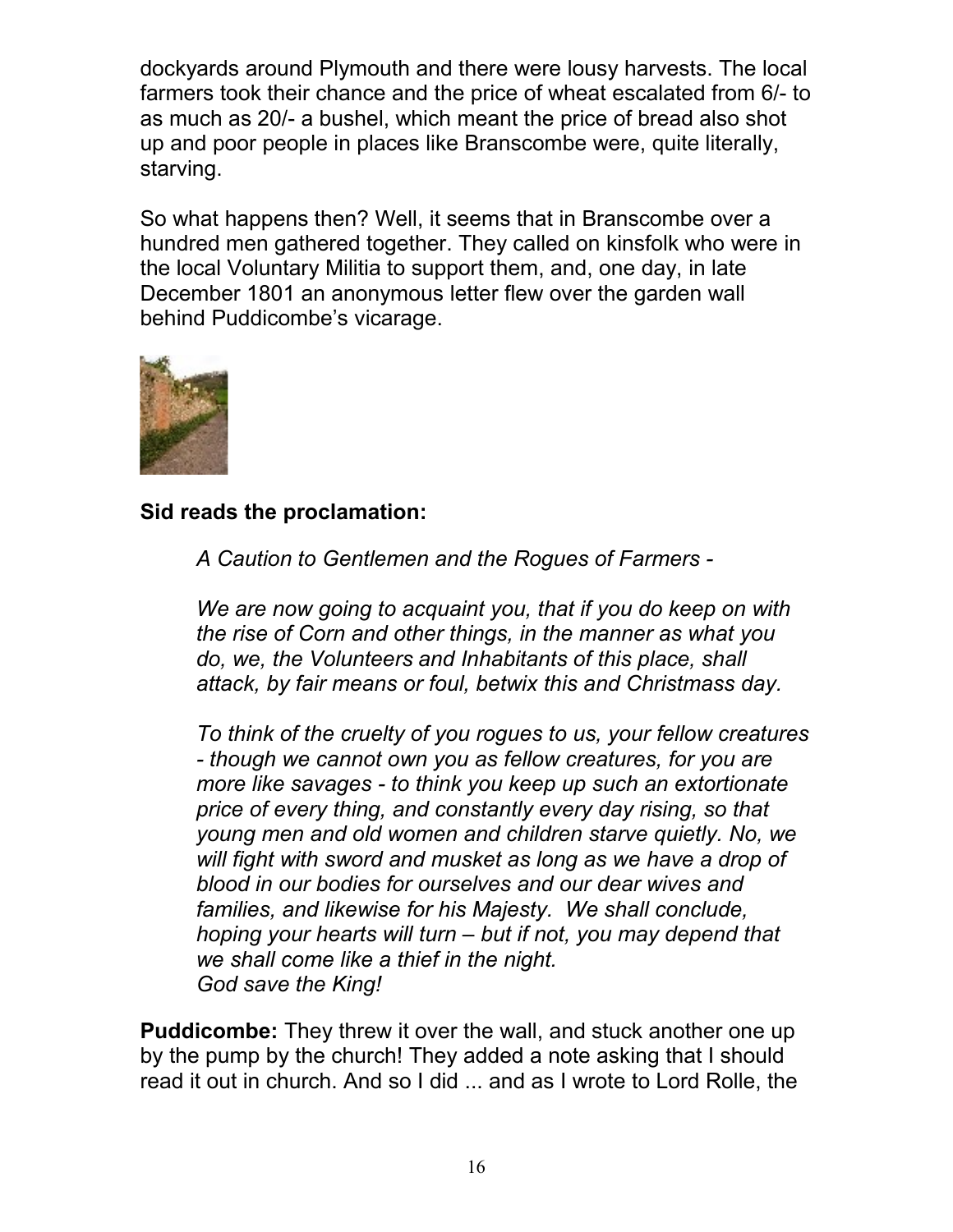dockyards around Plymouth and there were lousy harvests. The local farmers took their chance and the price of wheat escalated from 6/- to as much as 20/- a bushel, which meant the price of bread also shot up and poor people in places like Branscombe were, quite literally, starving.

So what happens then? Well, it seems that in Branscombe over a hundred men gathered together. They called on kinsfolk who were in the local Voluntary Militia to support them, and, one day, in late December 1801 an anonymous letter flew over the garden wall behind Puddicombe's vicarage.



**Sid reads the proclamation:**

*A Caution to Gentlemen and the Rogues of Farmers -*

*We are now going to acquaint you, that if you do keep on with the rise of Corn and other things, in the manner as what you do, we, the Volunteers and Inhabitants of this place, shall attack, by fair means or foul, betwix this and Christmass day.* 

*To think of the cruelty of you rogues to us, your fellow creatures - though we cannot own you as fellow creatures, for you are more like savages - to think you keep up such an extortionate price of every thing, and constantly every day rising, so that young men and old women and children starve quietly. No, we will fight with sword and musket as long as we have a drop of blood in our bodies for ourselves and our dear wives and families, and likewise for his Majesty. We shall conclude, hoping your hearts will turn – but if not, you may depend that we shall come like a thief in the night. God save the King!*

**Puddicombe:** They threw it over the wall, and stuck another one up by the pump by the church! They added a note asking that I should read it out in church. And so I did ... and as I wrote to Lord Rolle, the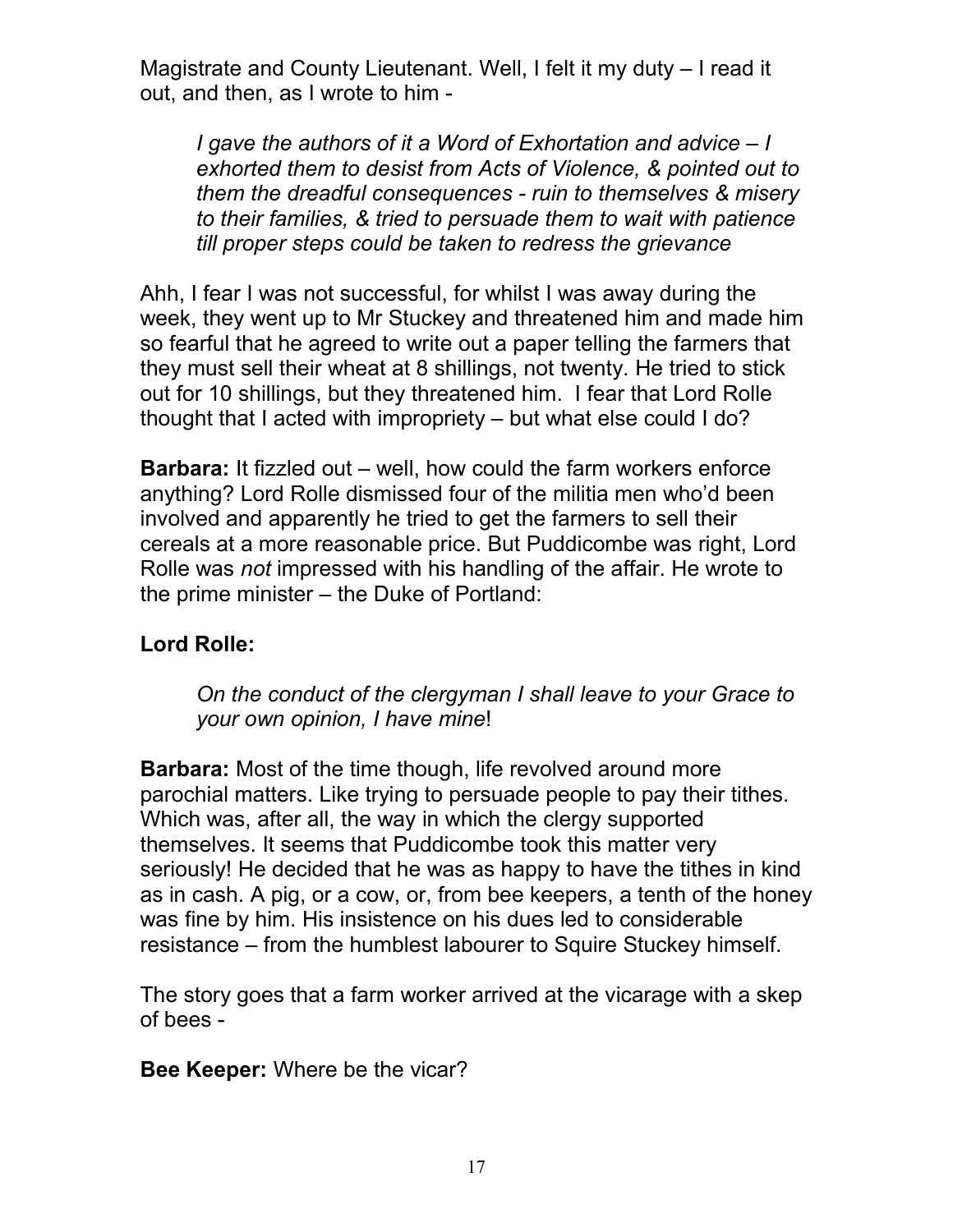Magistrate and County Lieutenant. Well, I felt it my duty – I read it out, and then, as I wrote to him -

*I gave the authors of it a Word of Exhortation and advice – I exhorted them to desist from Acts of Violence, & pointed out to them the dreadful consequences - ruin to themselves & misery to their families, & tried to persuade them to wait with patience till proper steps could be taken to redress the grievance* 

Ahh, I fear I was not successful, for whilst I was away during the week, they went up to Mr Stuckey and threatened him and made him so fearful that he agreed to write out a paper telling the farmers that they must sell their wheat at 8 shillings, not twenty. He tried to stick out for 10 shillings, but they threatened him. I fear that Lord Rolle thought that I acted with impropriety – but what else could I do?

**Barbara:** It fizzled out – well, how could the farm workers enforce anything? Lord Rolle dismissed four of the militia men who'd been involved and apparently he tried to get the farmers to sell their cereals at a more reasonable price. But Puddicombe was right, Lord Rolle was *not* impressed with his handling of the affair. He wrote to the prime minister – the Duke of Portland:

## **Lord Rolle:**

*On the conduct of the clergyman I shall leave to your Grace to your own opinion, I have mine*!

**Barbara:** Most of the time though, life revolved around more parochial matters. Like trying to persuade people to pay their tithes. Which was, after all, the way in which the clergy supported themselves. It seems that Puddicombe took this matter very seriously! He decided that he was as happy to have the tithes in kind as in cash. A pig, or a cow, or, from bee keepers, a tenth of the honey was fine by him. His insistence on his dues led to considerable resistance – from the humblest labourer to Squire Stuckey himself.

The story goes that a farm worker arrived at the vicarage with a skep of bees -

**Bee Keeper:** Where be the vicar?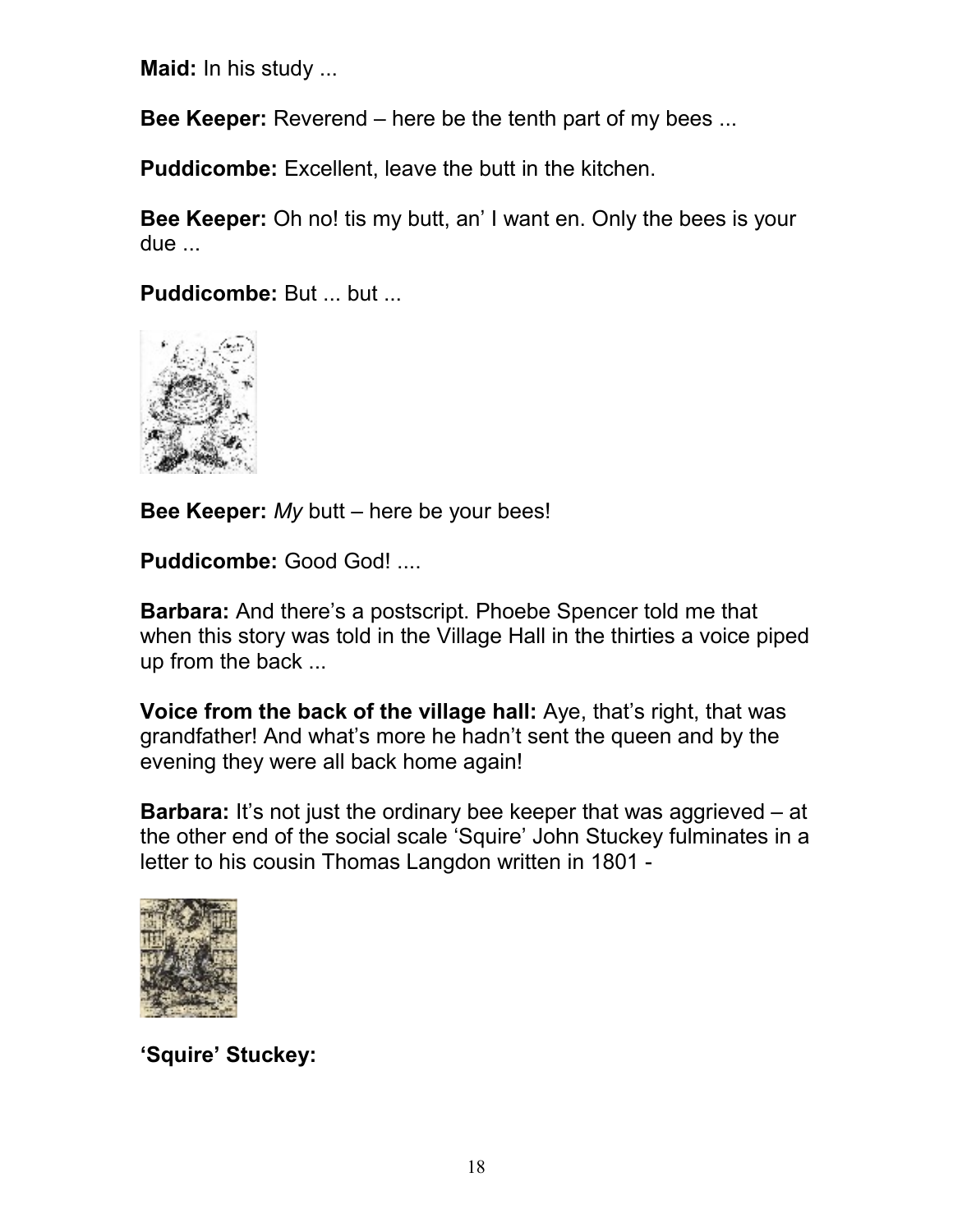**Maid:** In his study ...

**Bee Keeper:** Reverend – here be the tenth part of my bees ...

**Puddicombe:** Excellent, leave the butt in the kitchen.

**Bee Keeper:** Oh no! tis my butt, an' I want en. Only the bees is your due ...

**Puddicombe: But ... but ...** 



**Bee Keeper:** *My* butt – here be your bees!

**Puddicombe:** Good God! ....

**Barbara:** And there's a postscript. Phoebe Spencer told me that when this story was told in the Village Hall in the thirties a voice piped up from the back ...

**Voice from the back of the village hall:** Aye, that's right, that was grandfather! And what's more he hadn't sent the queen and by the evening they were all back home again!

**Barbara:** It's not just the ordinary bee keeper that was aggrieved – at the other end of the social scale 'Squire' John Stuckey fulminates in a letter to his cousin Thomas Langdon written in 1801 -



**'Squire' Stuckey:**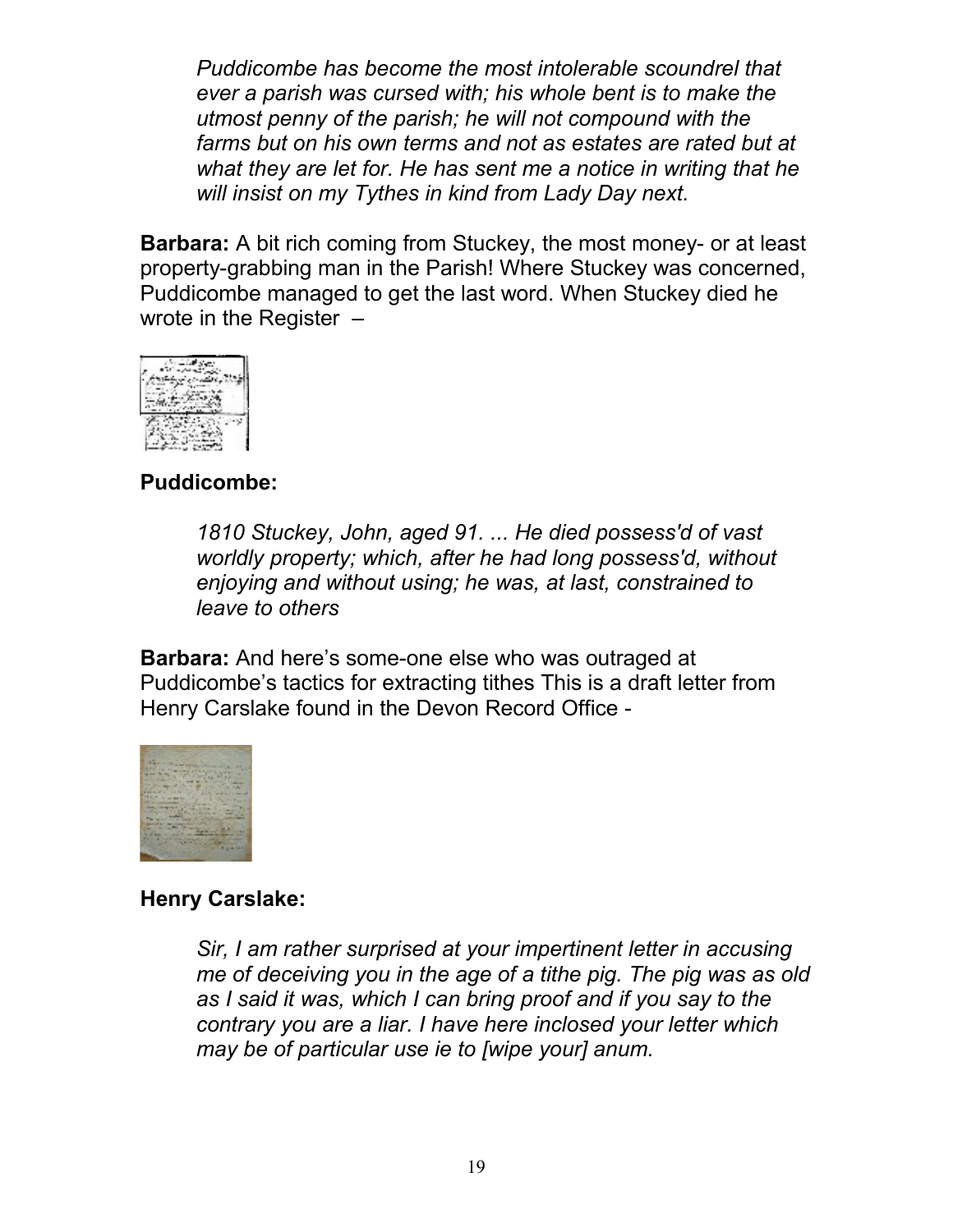*Puddicombe has become the most intolerable scoundrel that ever a parish was cursed with; his whole bent is to make the utmost penny of the parish; he will not compound with the farms but on his own terms and not as estates are rated but at what they are let for. He has sent me a notice in writing that he will insist on my Tythes in kind from Lady Day next.*

**Barbara:** A bit rich coming from Stuckey, the most money- or at least property-grabbing man in the Parish! Where Stuckey was concerned, Puddicombe managed to get the last word. When Stuckey died he wrote in the Register –



#### **Puddicombe:**

*1810 Stuckey, John, aged 91. ... He died possess'd of vast worldly property; which, after he had long possess'd, without enjoying and without using; he was, at last, constrained to leave to others* 

**Barbara:** And here's some-one else who was outraged at Puddicombe's tactics for extracting tithes This is a draft letter from Henry Carslake found in the Devon Record Office -



#### **Henry Carslake:**

*Sir, I am rather surprised at your impertinent letter in accusing me of deceiving you in the age of a tithe pig. The pig was as old as I said it was, which I can bring proof and if you say to the contrary you are a liar. I have here inclosed your letter which may be of particular use ie to [wipe your] anum.*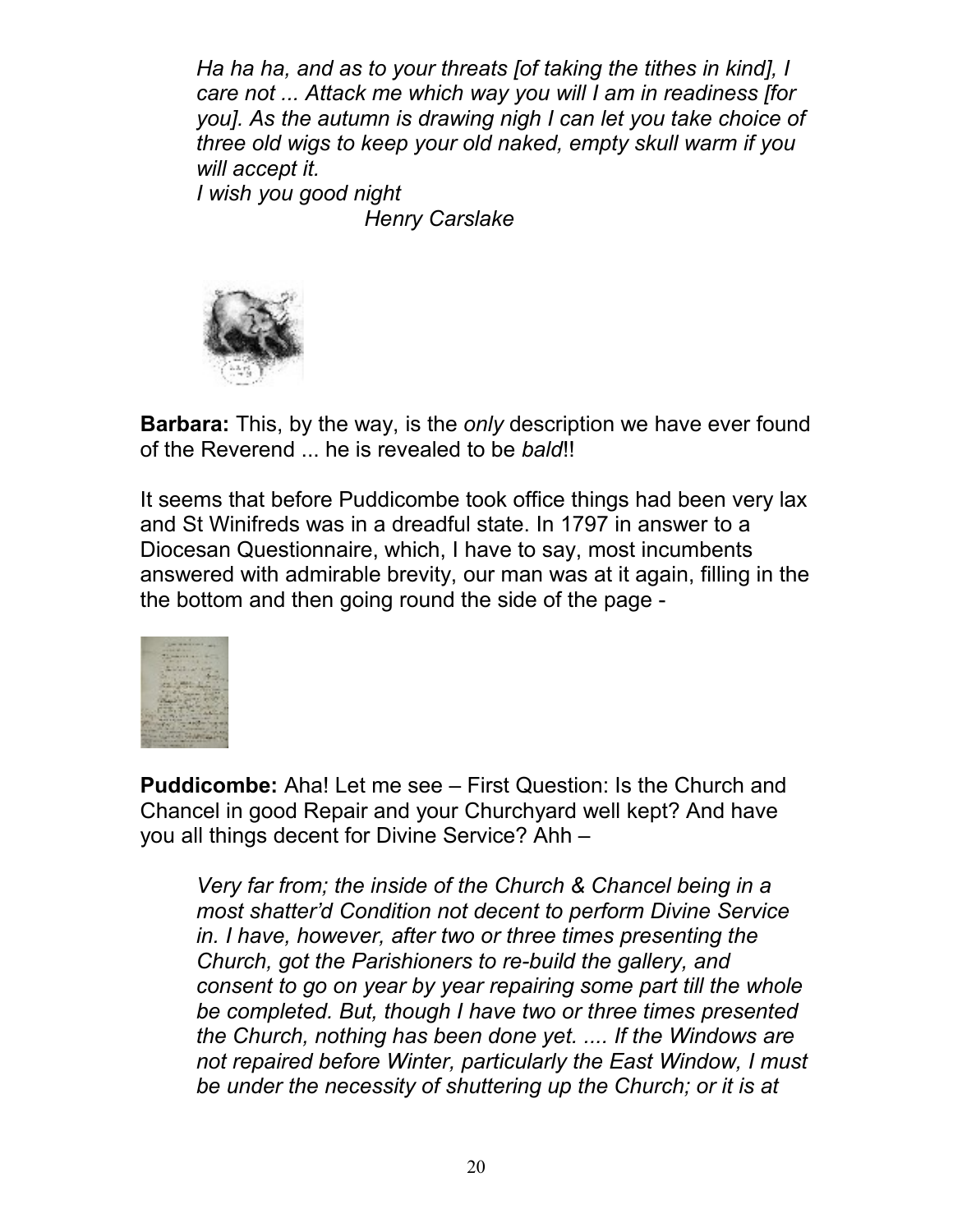*Ha ha ha, and as to your threats [of taking the tithes in kind], I care not ... Attack me which way you will I am in readiness [for you]. As the autumn is drawing nigh I can let you take choice of three old wigs to keep your old naked, empty skull warm if you will accept it. I wish you good night*

*Henry Carslake*



**Barbara:** This, by the way, is the *only* description we have ever found of the Reverend ... he is revealed to be *bald*!!

It seems that before Puddicombe took office things had been very lax and St Winifreds was in a dreadful state. In 1797 in answer to a Diocesan Questionnaire, which, I have to say, most incumbents answered with admirable brevity, our man was at it again, filling in the the bottom and then going round the side of the page -



**Puddicombe:** Aha! Let me see – First Question: Is the Church and Chancel in good Repair and your Churchyard well kept? And have you all things decent for Divine Service? Ahh –

*Very far from; the inside of the Church & Chancel being in a most shatter'd Condition not decent to perform Divine Service in. I have, however, after two or three times presenting the Church, got the Parishioners to re-build the gallery, and consent to go on year by year repairing some part till the whole be completed. But, though I have two or three times presented the Church, nothing has been done yet. .... If the Windows are not repaired before Winter, particularly the East Window, I must be under the necessity of shuttering up the Church; or it is at*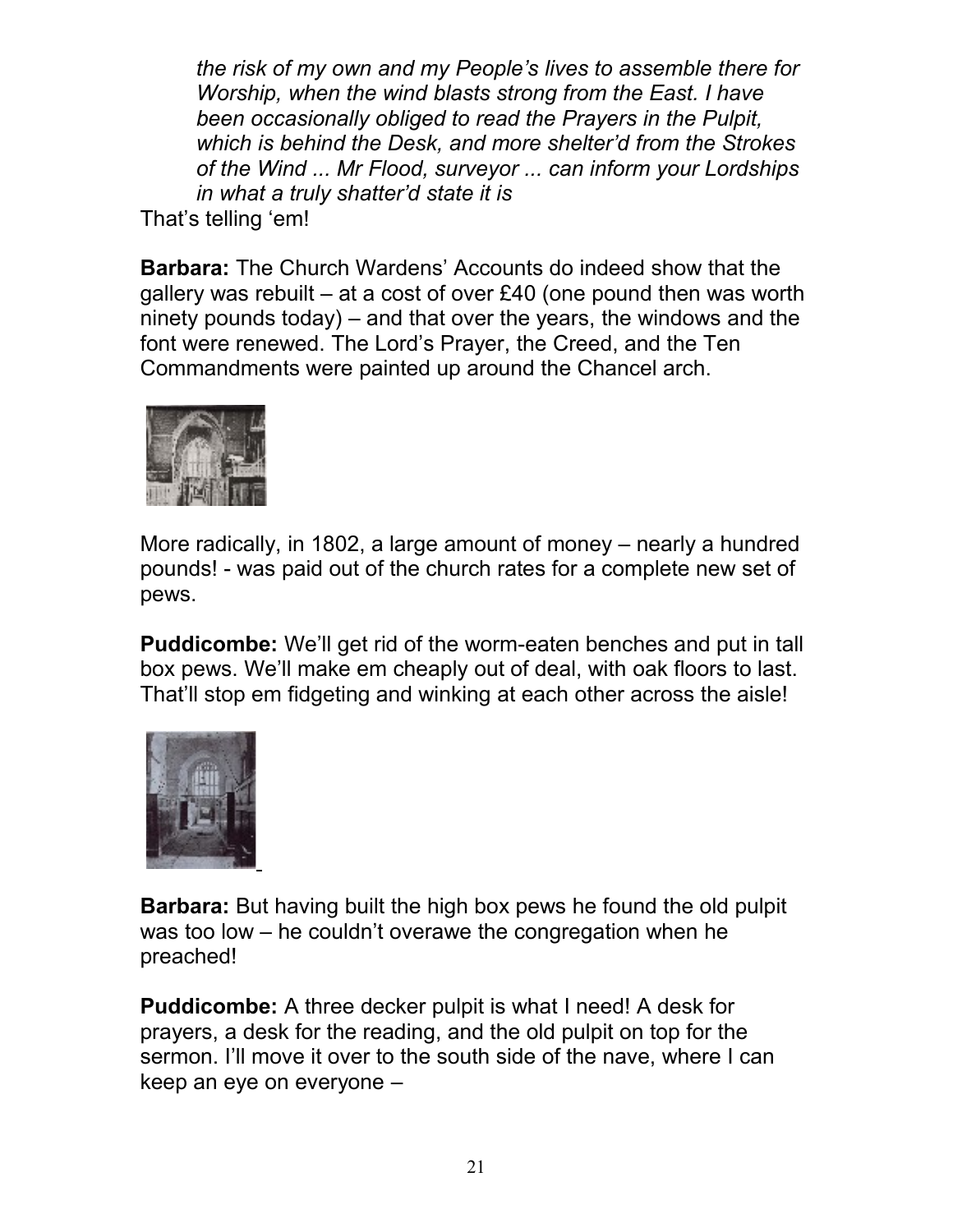*the risk of my own and my People's lives to assemble there for Worship, when the wind blasts strong from the East. I have been occasionally obliged to read the Prayers in the Pulpit, which is behind the Desk, and more shelter'd from the Strokes of the Wind ... Mr Flood, surveyor ... can inform your Lordships in what a truly shatter'd state it is* 

That's telling 'em!

**Barbara:** The Church Wardens' Accounts do indeed show that the gallery was rebuilt – at a cost of over £40 (one pound then was worth ninety pounds today) – and that over the years, the windows and the font were renewed. The Lord's Prayer, the Creed, and the Ten Commandments were painted up around the Chancel arch.



More radically, in 1802, a large amount of money – nearly a hundred pounds! - was paid out of the church rates for a complete new set of pews.

**Puddicombe:** We'll get rid of the worm-eaten benches and put in tall box pews. We'll make em cheaply out of deal, with oak floors to last. That'll stop em fidgeting and winking at each other across the aisle!



**Barbara:** But having built the high box pews he found the old pulpit was too low – he couldn't overawe the congregation when he preached!

**Puddicombe:** A three decker pulpit is what I need! A desk for prayers, a desk for the reading, and the old pulpit on top for the sermon. I'll move it over to the south side of the nave, where I can keep an eye on everyone –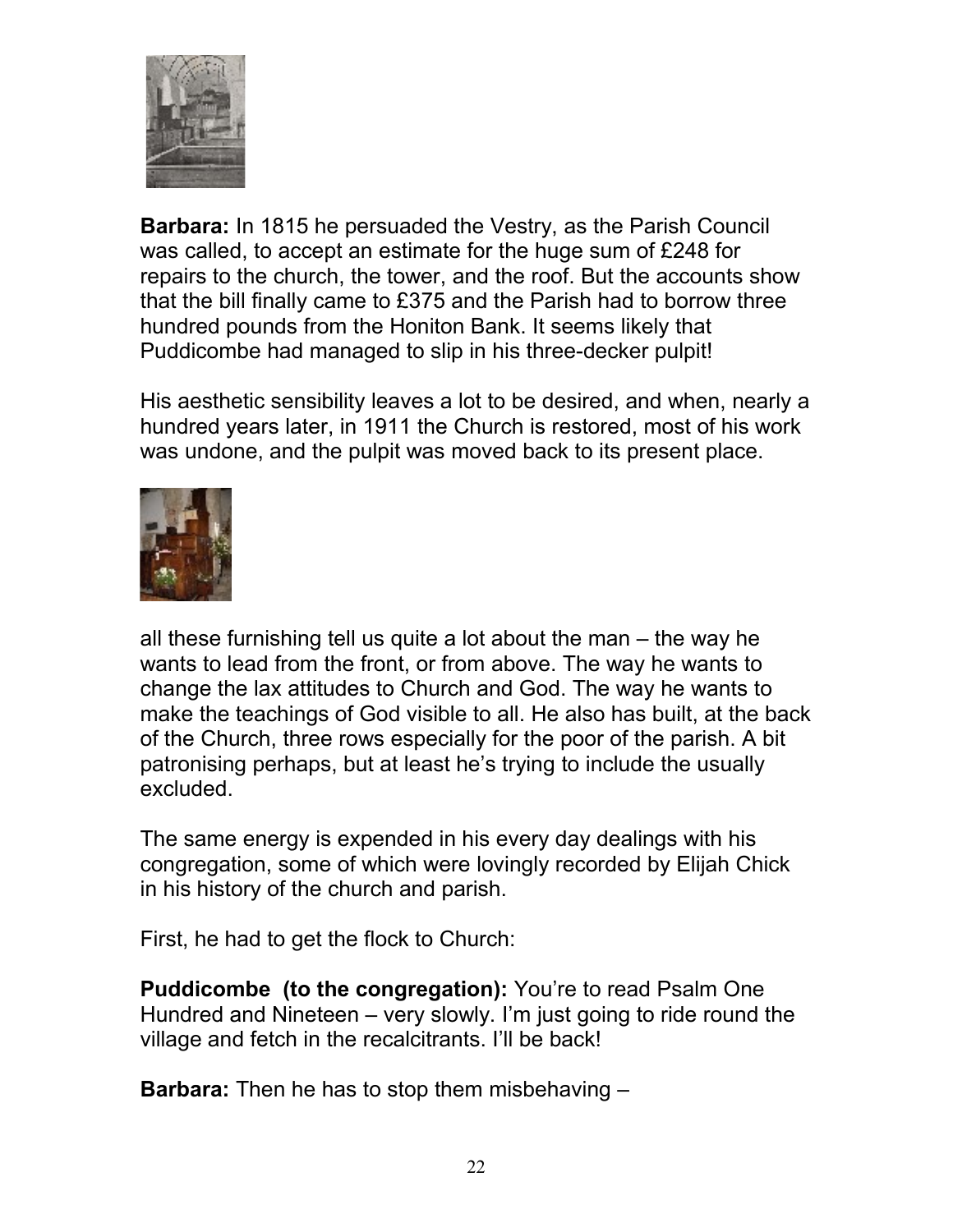

**Barbara:** In 1815 he persuaded the Vestry, as the Parish Council was called, to accept an estimate for the huge sum of £248 for repairs to the church, the tower, and the roof. But the accounts show that the bill finally came to £375 and the Parish had to borrow three hundred pounds from the Honiton Bank. It seems likely that Puddicombe had managed to slip in his three-decker pulpit!

His aesthetic sensibility leaves a lot to be desired, and when, nearly a hundred years later, in 1911 the Church is restored, most of his work was undone, and the pulpit was moved back to its present place.



all these furnishing tell us quite a lot about the man – the way he wants to lead from the front, or from above. The way he wants to change the lax attitudes to Church and God. The way he wants to make the teachings of God visible to all. He also has built, at the back of the Church, three rows especially for the poor of the parish. A bit patronising perhaps, but at least he's trying to include the usually excluded.

The same energy is expended in his every day dealings with his congregation, some of which were lovingly recorded by Elijah Chick in his history of the church and parish.

First, he had to get the flock to Church:

**Puddicombe (to the congregation):** You're to read Psalm One Hundred and Nineteen – very slowly. I'm just going to ride round the village and fetch in the recalcitrants. I'll be back!

**Barbara:** Then he has to stop them misbehaving –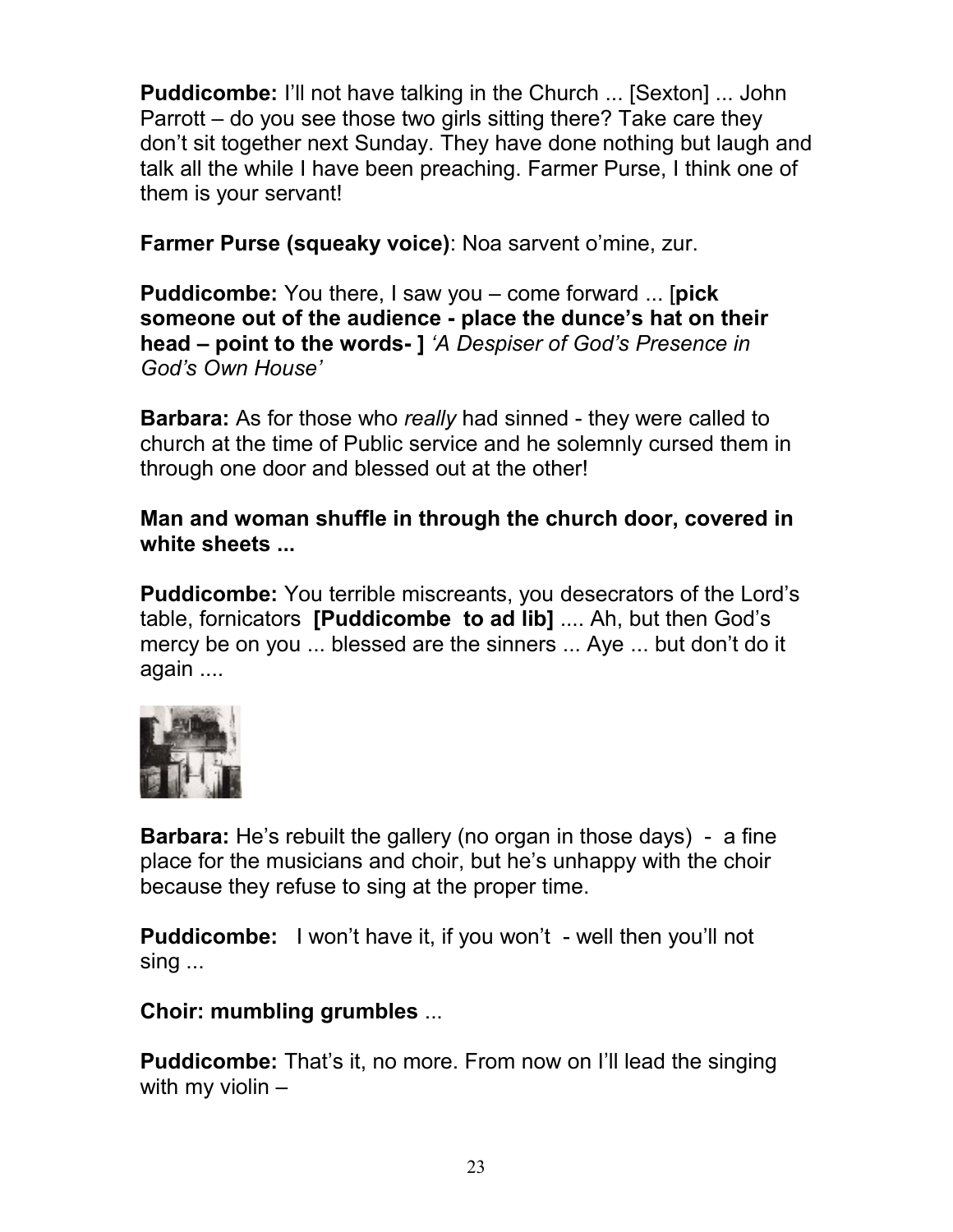**Puddicombe:** I'll not have talking in the Church ... [Sexton] ... John Parrott – do you see those two girls sitting there? Take care they don't sit together next Sunday. They have done nothing but laugh and talk all the while I have been preaching. Farmer Purse, I think one of them is your servant!

**Farmer Purse (squeaky voice)**: Noa sarvent o'mine, zur.

**Puddicombe:** You there, I saw you – come forward ... [**pick someone out of the audience - place the dunce's hat on their head – point to the words- ]** *'A Despiser of God's Presence in God's Own House'*

**Barbara:** As for those who *really* had sinned - they were called to church at the time of Public service and he solemnly cursed them in through one door and blessed out at the other!

**Man and woman shuffle in through the church door, covered in white sheets ...** 

**Puddicombe:** You terrible miscreants, you desecrators of the Lord's table, fornicators **[Puddicombe to ad lib]** .... Ah, but then God's mercy be on you ... blessed are the sinners ... Aye ... but don't do it again ....



**Barbara:** He's rebuilt the gallery (no organ in those days) - a fine place for the musicians and choir, but he's unhappy with the choir because they refuse to sing at the proper time.

**Puddicombe:** I won't have it, if you won't - well then you'll not sing ...

**Choir: mumbling grumbles** ...

**Puddicombe:** That's it, no more. From now on I'll lead the singing with my violin –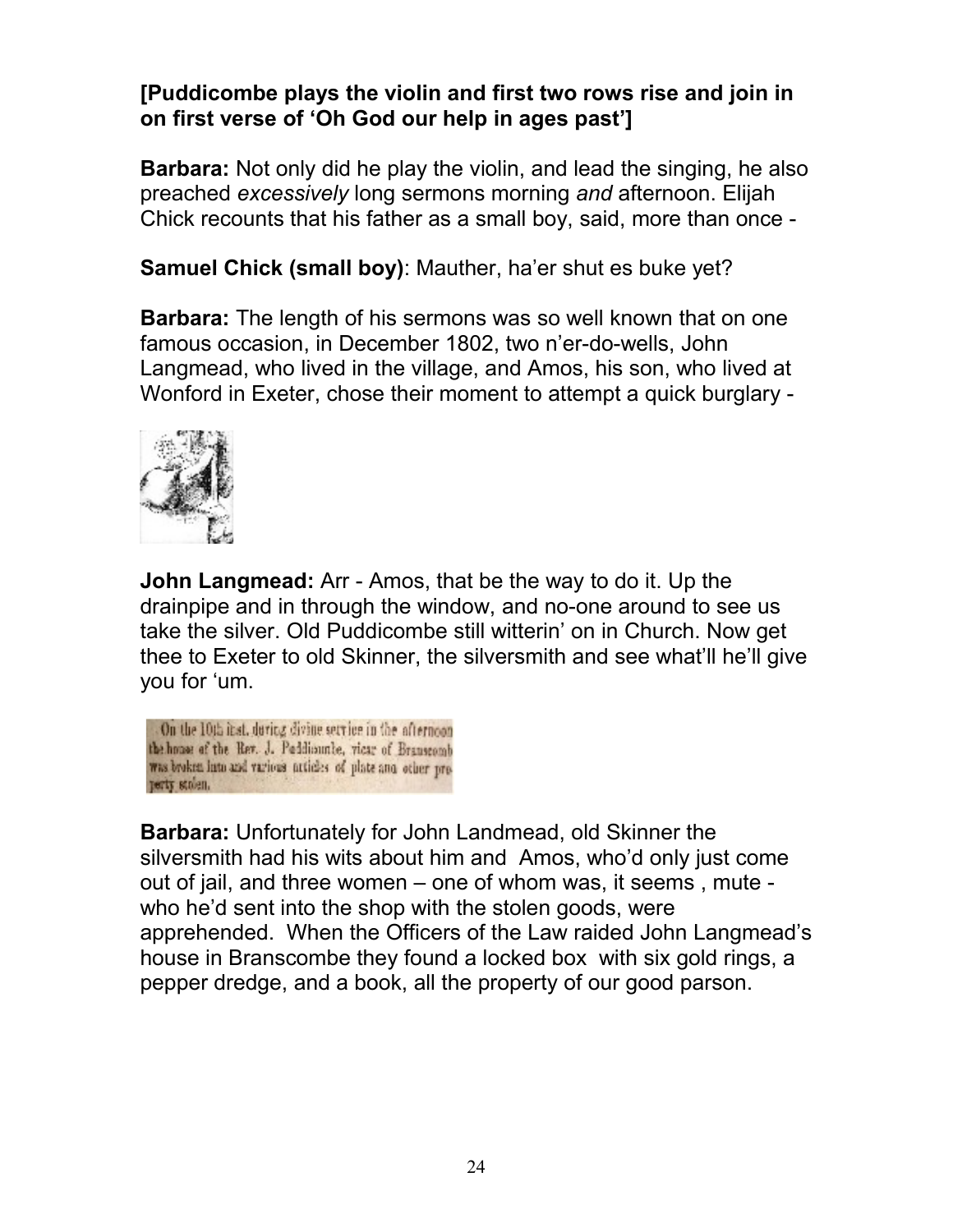## **[Puddicombe plays the violin and first two rows rise and join in on first verse of 'Oh God our help in ages past']**

**Barbara:** Not only did he play the violin, and lead the singing, he also preached *excessively* long sermons morning *and* afternoon. Elijah Chick recounts that his father as a small boy, said, more than once -

**Samuel Chick (small boy)**: Mauther, ha'er shut es buke yet?

**Barbara:** The length of his sermons was so well known that on one famous occasion, in December 1802, two n'er-do-wells, John Langmead, who lived in the village, and Amos, his son, who lived at Wonford in Exeter, chose their moment to attempt a quick burglary -



**John Langmead:** Arr - Amos, that be the way to do it. Up the drainpipe and in through the window, and no-one around to see us take the silver. Old Puddicombe still witterin' on in Church. Now get thee to Exeter to old Skinner, the silversmith and see what'll he'll give you for 'um.

On the 10th itst, during divine service in the afternoon the house of the Rev. J. Paddisonle, vicar of Brauscomb was broken into and various articles of plate and other property stolen.

**Barbara:** Unfortunately for John Landmead, old Skinner the silversmith had his wits about him and Amos, who'd only just come out of jail, and three women – one of whom was, it seems , mute who he'd sent into the shop with the stolen goods, were apprehended. When the Officers of the Law raided John Langmead's house in Branscombe they found a locked box with six gold rings, a pepper dredge, and a book, all the property of our good parson.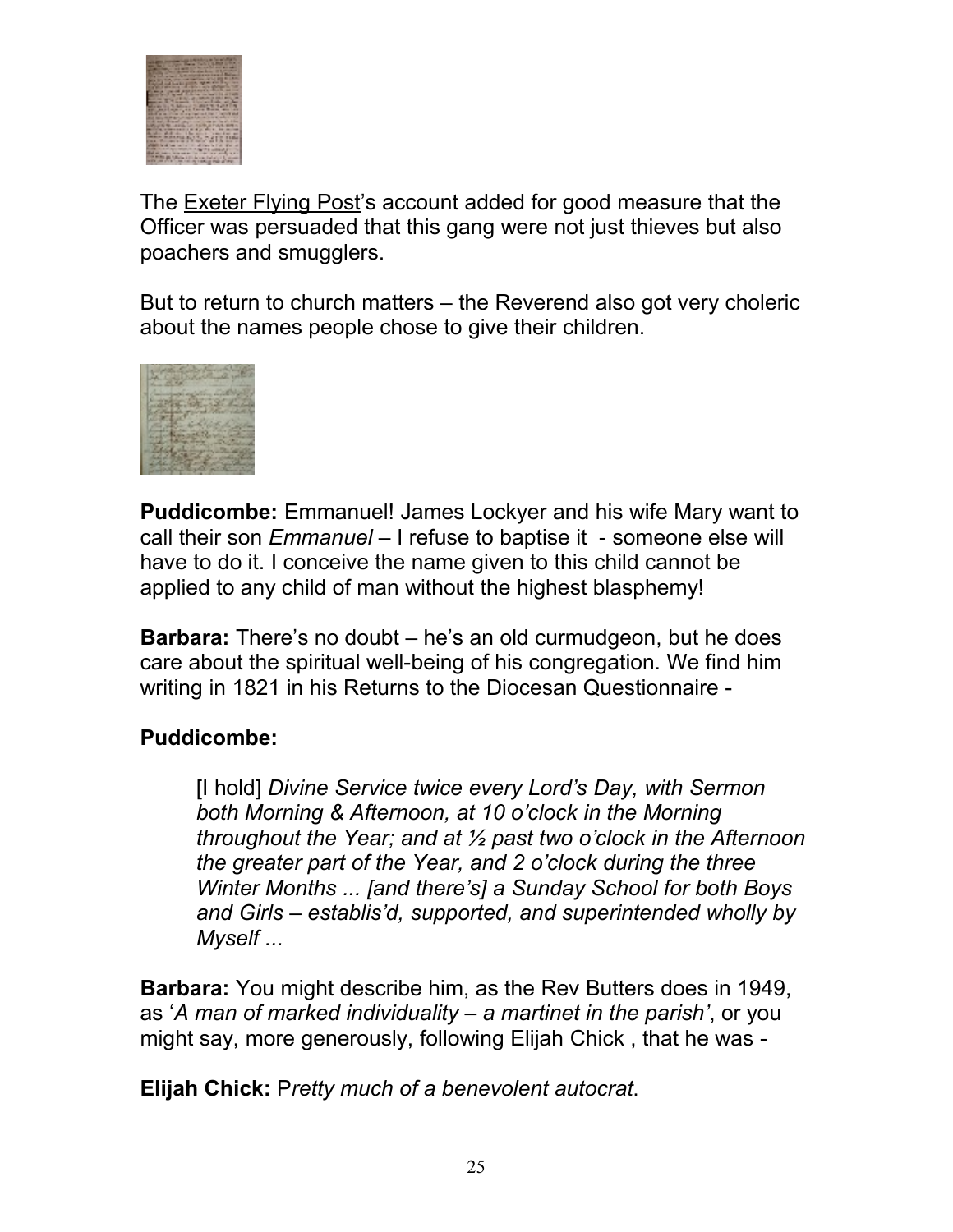

The **Exeter Flying Post**'s account added for good measure that the Officer was persuaded that this gang were not just thieves but also poachers and smugglers.

But to return to church matters – the Reverend also got very choleric about the names people chose to give their children.



**Puddicombe:** Emmanuel! James Lockyer and his wife Mary want to call their son *Emmanuel* – I refuse to baptise it - someone else will have to do it. I conceive the name given to this child cannot be applied to any child of man without the highest blasphemy!

**Barbara:** There's no doubt – he's an old curmudgeon, but he does care about the spiritual well-being of his congregation. We find him writing in 1821 in his Returns to the Diocesan Questionnaire -

#### **Puddicombe:**

[I hold] *Divine Service twice every Lord's Day, with Sermon both Morning & Afternoon, at 10 o'clock in the Morning throughout the Year; and at ½ past two o'clock in the Afternoon the greater part of the Year, and 2 o'clock during the three Winter Months ... [and there's] a Sunday School for both Boys and Girls – establis'd, supported, and superintended wholly by Myself ...*

**Barbara:** You might describe him, as the Rev Butters does in 1949, as '*A man of marked individuality – a martinet in the parish'*, or you might say, more generously, following Elijah Chick , that he was -

**Elijah Chick:** P*retty much of a benevolent autocrat*.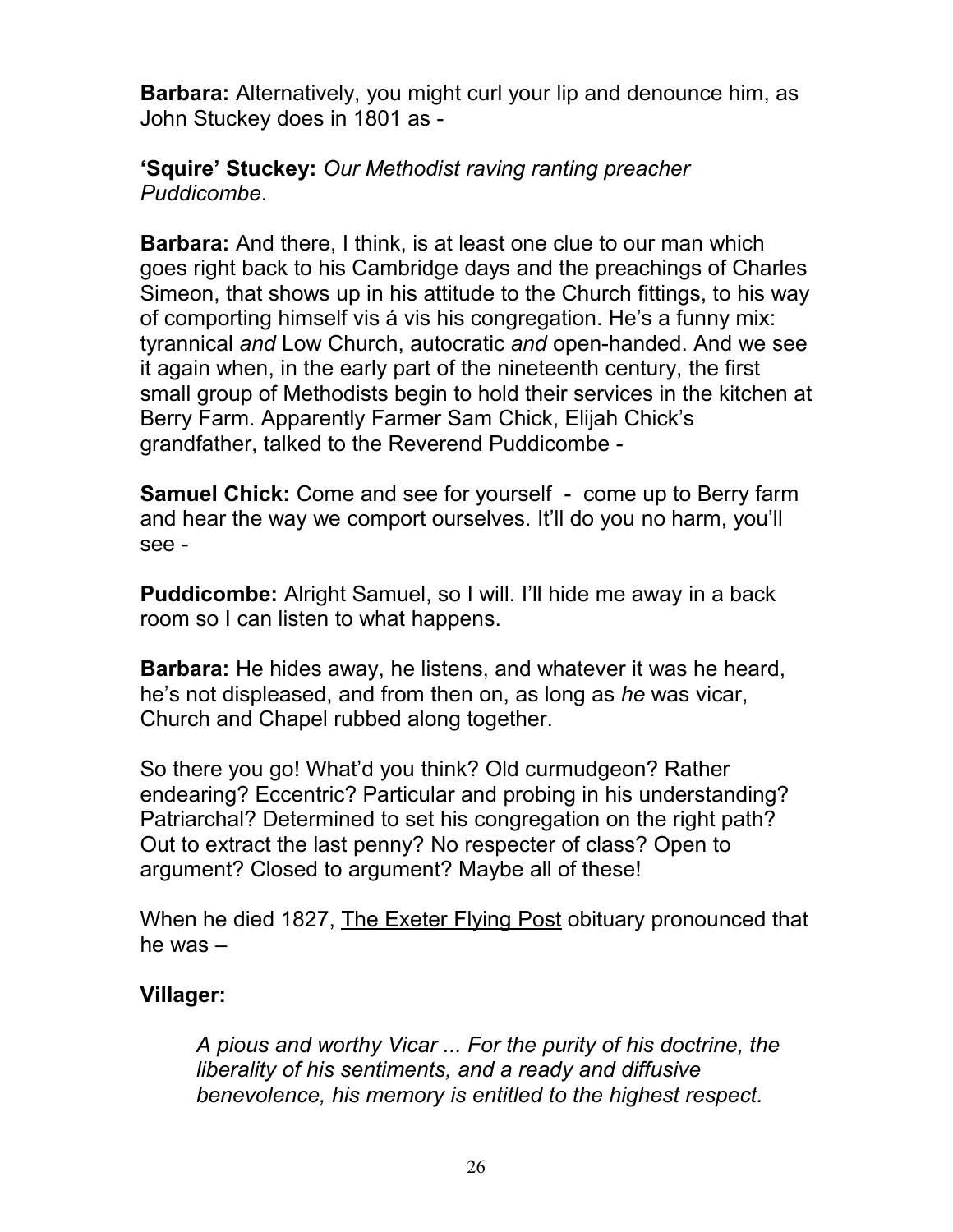**Barbara:** Alternatively, you might curl your lip and denounce him, as John Stuckey does in 1801 as -

#### **'Squire' Stuckey:** *Our Methodist raving ranting preacher Puddicombe*.

**Barbara:** And there, I think, is at least one clue to our man which goes right back to his Cambridge days and the preachings of Charles Simeon, that shows up in his attitude to the Church fittings, to his way of comporting himself vis á vis his congregation. He's a funny mix: tyrannical *and* Low Church, autocratic *and* open-handed. And we see it again when, in the early part of the nineteenth century, the first small group of Methodists begin to hold their services in the kitchen at Berry Farm. Apparently Farmer Sam Chick, Elijah Chick's grandfather, talked to the Reverend Puddicombe -

**Samuel Chick:** Come and see for yourself - come up to Berry farm and hear the way we comport ourselves. It'll do you no harm, you'll see -

**Puddicombe:** Alright Samuel, so I will. I'll hide me away in a back room so I can listen to what happens.

**Barbara:** He hides away, he listens, and whatever it was he heard, he's not displeased, and from then on, as long as *he* was vicar, Church and Chapel rubbed along together.

So there you go! What'd you think? Old curmudgeon? Rather endearing? Eccentric? Particular and probing in his understanding? Patriarchal? Determined to set his congregation on the right path? Out to extract the last penny? No respecter of class? Open to argument? Closed to argument? Maybe all of these!

When he died 1827, The Exeter Flying Post obituary pronounced that he was –

## **Villager:**

*A pious and worthy Vicar ... For the purity of his doctrine, the liberality of his sentiments, and a ready and diffusive benevolence, his memory is entitled to the highest respect.*